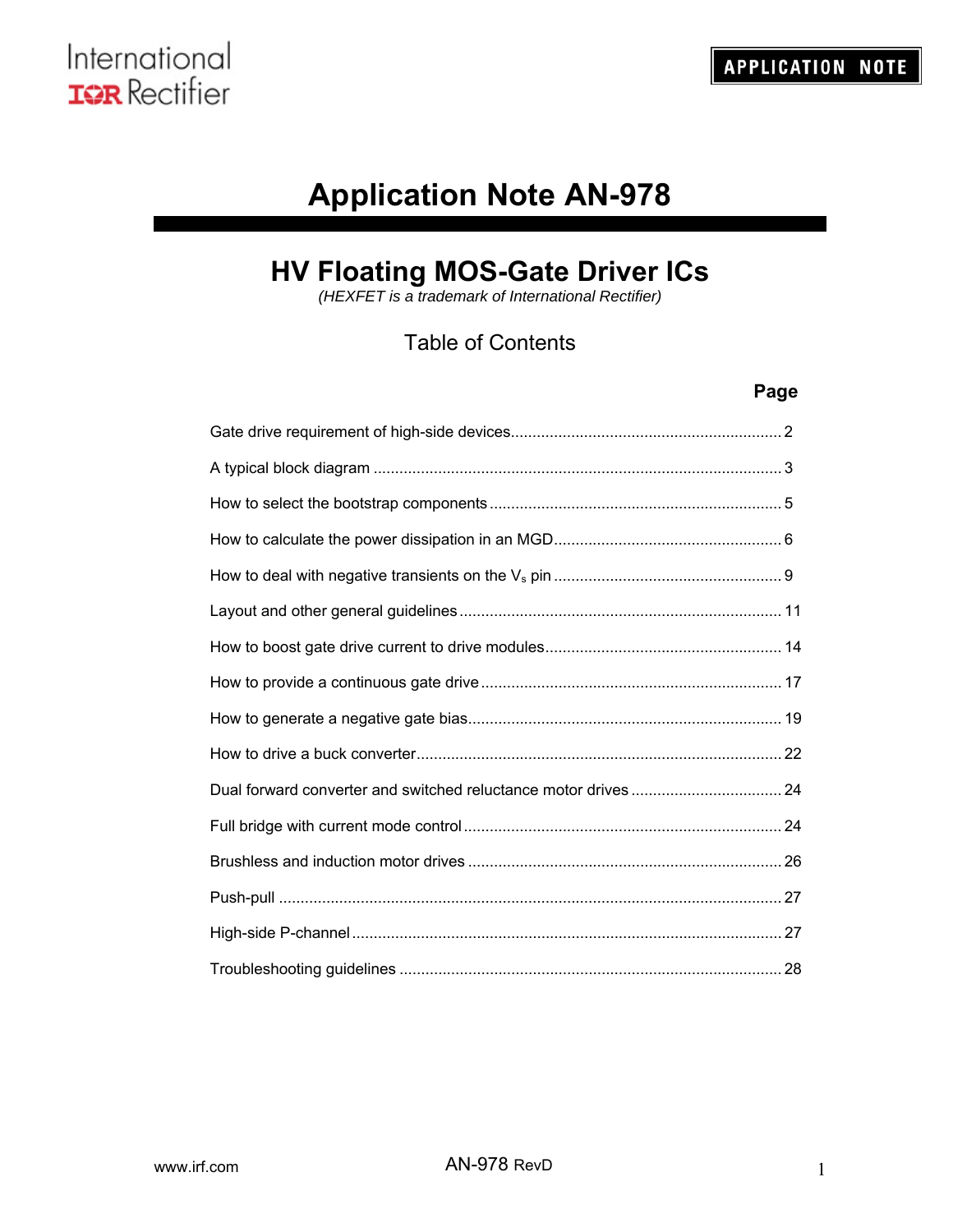# **Application Note AN-978**

# **HV Floating MOS-Gate Driver ICs**

*(HEXFET is a trademark of International Rectifier)*

# Table of Contents

# **Page**

| Dual forward converter and switched reluctance motor drives  24 |  |
|-----------------------------------------------------------------|--|
|                                                                 |  |
|                                                                 |  |
|                                                                 |  |
|                                                                 |  |
|                                                                 |  |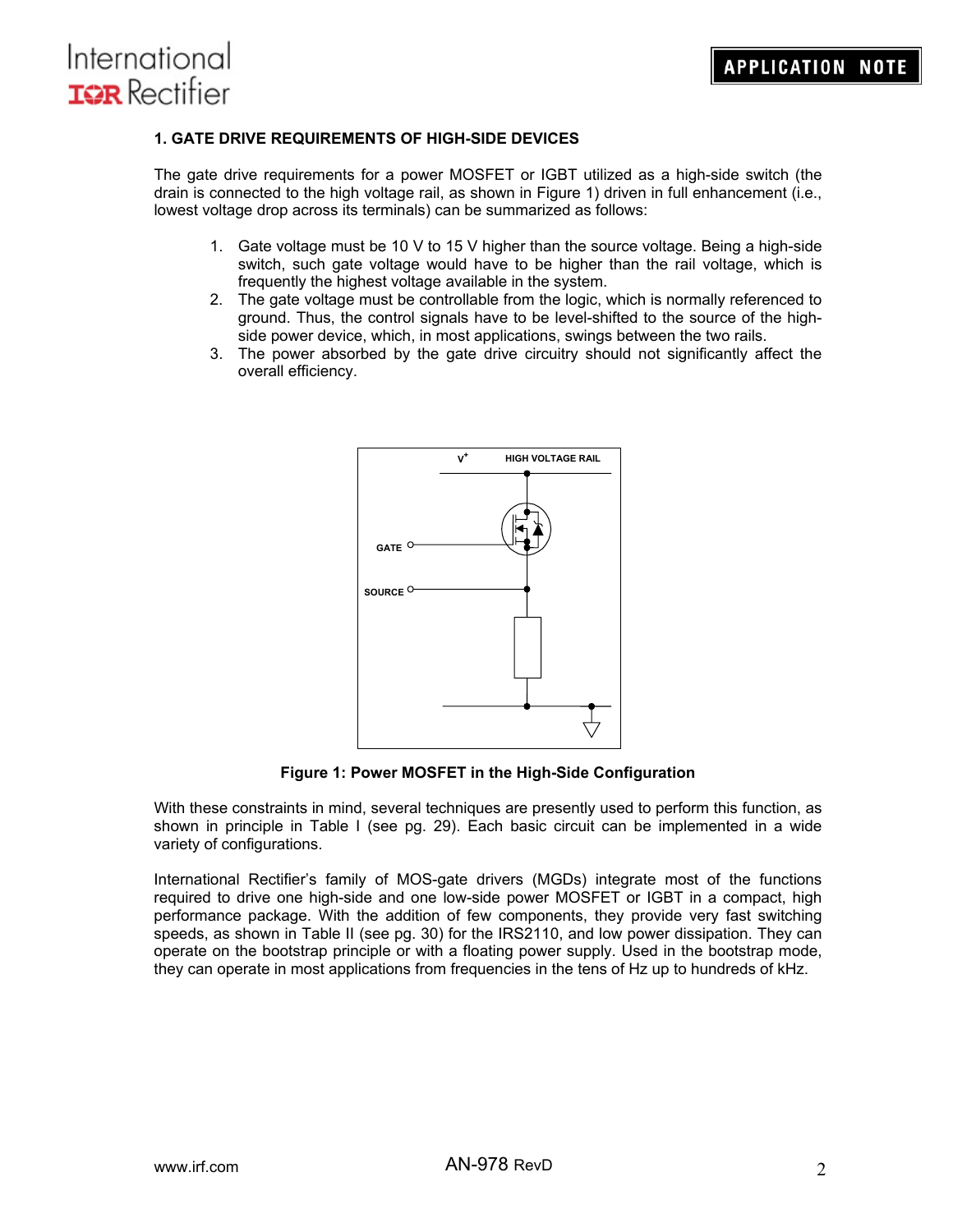### **1. GATE DRIVE REQUIREMENTS OF HIGH-SIDE DEVICES**

The gate drive requirements for a power MOSFET or IGBT utilized as a high-side switch (the drain is connected to the high voltage rail, as shown in Figure 1) driven in full enhancement (i.e., lowest voltage drop across its terminals) can be summarized as follows:

- 1. Gate voltage must be 10 V to 15 V higher than the source voltage. Being a high-side switch, such gate voltage would have to be higher than the rail voltage, which is frequently the highest voltage available in the system.
- 2. The gate voltage must be controllable from the logic, which is normally referenced to ground. Thus, the control signals have to be level-shifted to the source of the highside power device, which, in most applications, swings between the two rails.
- 3. The power absorbed by the gate drive circuitry should not significantly affect the overall efficiency.



**Figure 1: Power MOSFET in the High-Side Configuration** 

With these constraints in mind, several techniques are presently used to perform this function, as shown in principle in Table I (see pg. 29). Each basic circuit can be implemented in a wide variety of configurations.

International Rectifier's family of MOS-gate drivers (MGDs) integrate most of the functions required to drive one high-side and one low-side power MOSFET or IGBT in a compact, high performance package. With the addition of few components, they provide very fast switching speeds, as shown in Table II (see pg. 30) for the IRS2110, and low power dissipation. They can operate on the bootstrap principle or with a floating power supply. Used in the bootstrap mode, they can operate in most applications from frequencies in the tens of Hz up to hundreds of kHz.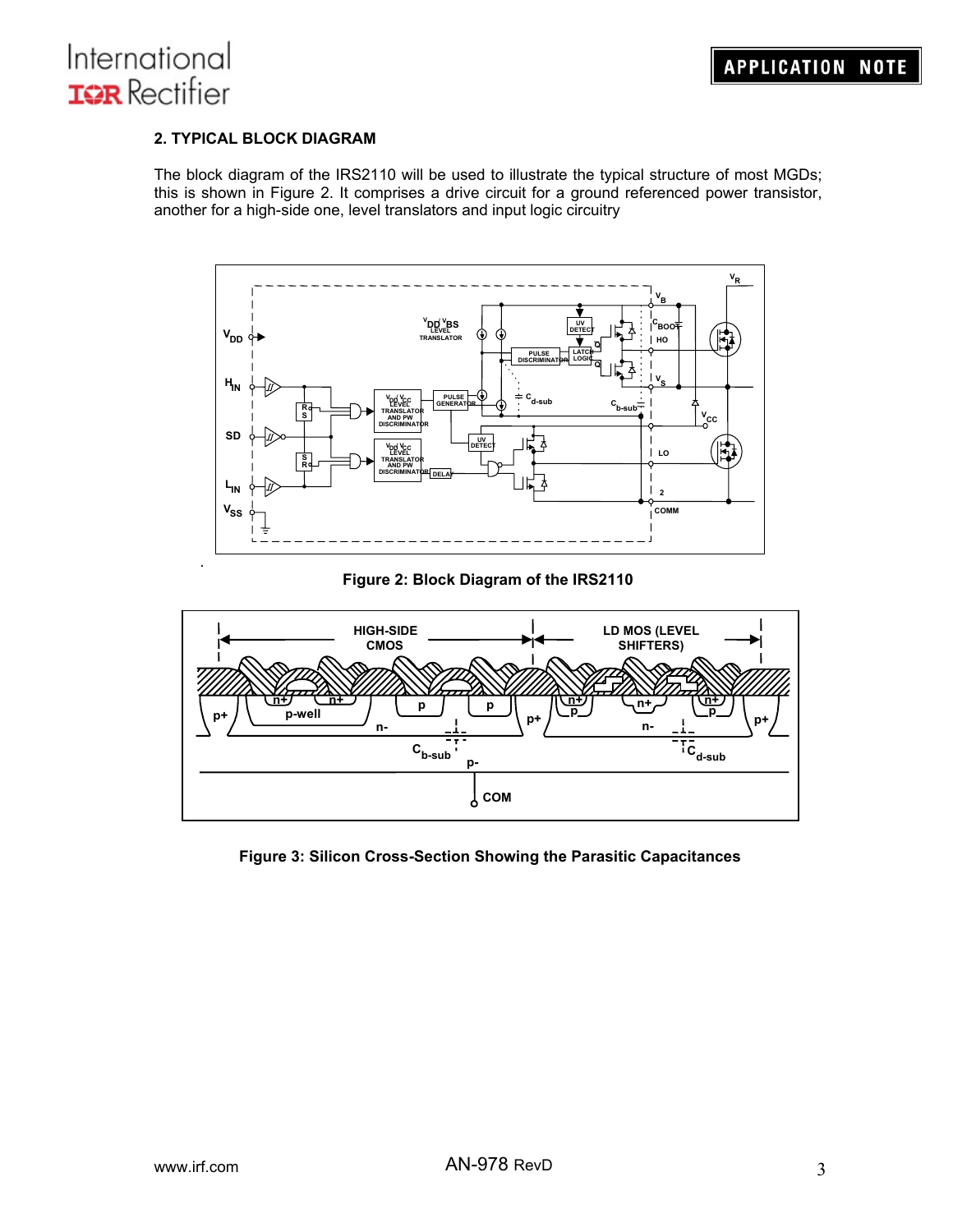## **2. TYPICAL BLOCK DIAGRAM**

The block diagram of the IRS2110 will be used to illustrate the typical structure of most MGDs; this is shown in Figure 2. It comprises a drive circuit for a ground referenced power transistor, another for a high-side one, level translators and input logic circuitry



### **Figure 2: Block Diagram of the IRS2110**



### **Figure 3: Silicon Cross-Section Showing the Parasitic Capacitances**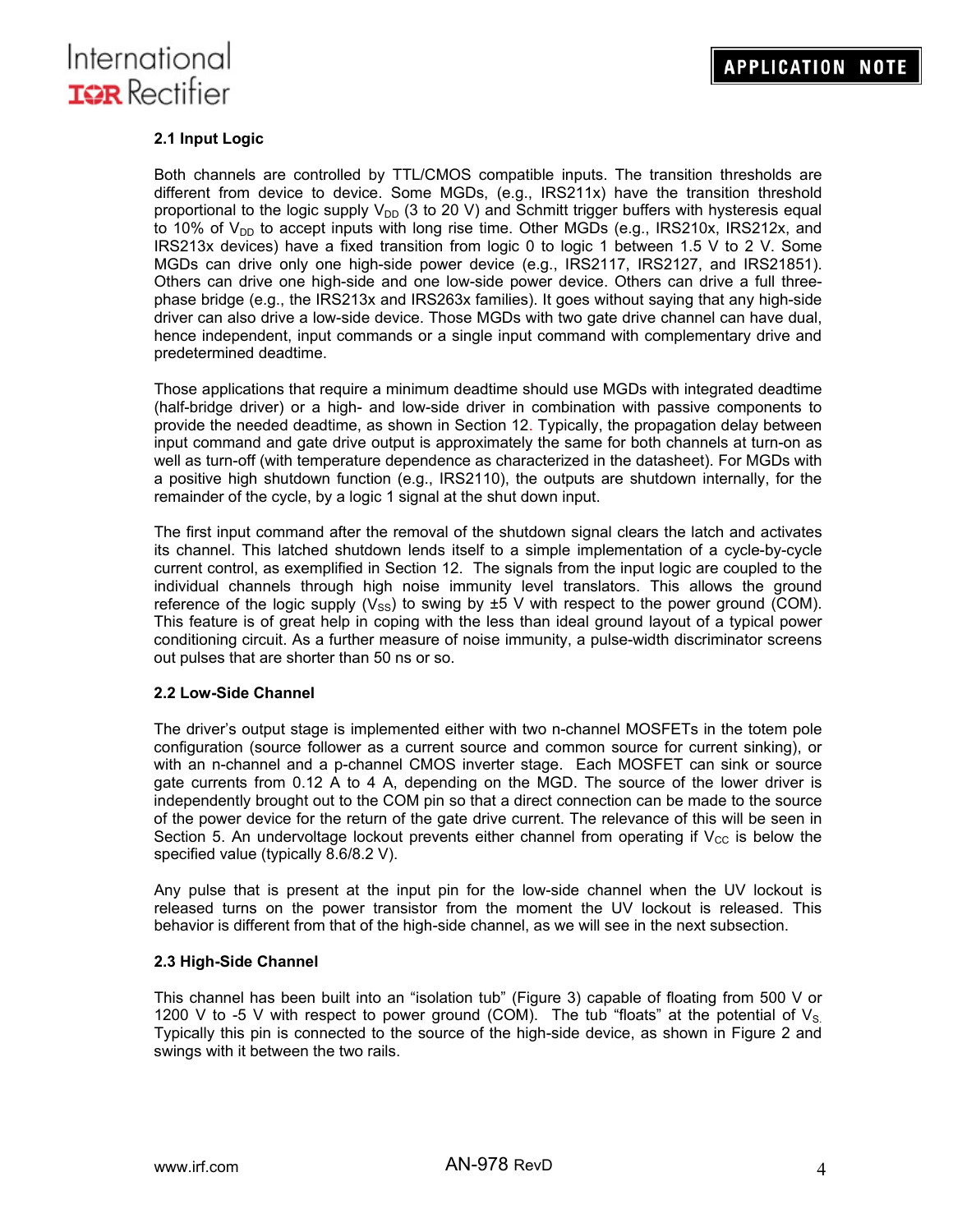

### **2.1 Input Logic**

Both channels are controlled by TTL/CMOS compatible inputs. The transition thresholds are different from device to device. Some MGDs, (e.g., IRS211x) have the transition threshold proportional to the logic supply  $V_{DD}$  (3 to 20 V) and Schmitt trigger buffers with hysteresis equal to 10% of  $V_{DD}$  to accept inputs with long rise time. Other MGDs (e.g., IRS210x, IRS212x, and IRS213x devices) have a fixed transition from logic 0 to logic 1 between 1.5 V to 2 V. Some MGDs can drive only one high-side power device (e.g., IRS2117, IRS2127, and IRS21851). Others can drive one high-side and one low-side power device. Others can drive a full threephase bridge (e.g., the IRS213x and IRS263x families). It goes without saying that any high-side driver can also drive a low-side device. Those MGDs with two gate drive channel can have dual, hence independent, input commands or a single input command with complementary drive and predetermined deadtime.

Those applications that require a minimum deadtime should use MGDs with integrated deadtime (half-bridge driver) or a high- and low-side driver in combination with passive components to provide the needed deadtime, as shown in Section 12. Typically, the propagation delay between input command and gate drive output is approximately the same for both channels at turn-on as well as turn-off (with temperature dependence as characterized in the datasheet). For MGDs with a positive high shutdown function (e.g., IRS2110), the outputs are shutdown internally, for the remainder of the cycle, by a logic 1 signal at the shut down input.

The first input command after the removal of the shutdown signal clears the latch and activates its channel. This latched shutdown lends itself to a simple implementation of a cycle-by-cycle current control, as exemplified in Section 12. The signals from the input logic are coupled to the individual channels through high noise immunity level translators. This allows the ground reference of the logic supply ( $V_{\rm SS}$ ) to swing by  $\pm 5$  V with respect to the power ground (COM). This feature is of great help in coping with the less than ideal ground layout of a typical power conditioning circuit. As a further measure of noise immunity, a pulse-width discriminator screens out pulses that are shorter than 50 ns or so.

#### **2.2 Low-Side Channel**

The driver's output stage is implemented either with two n-channel MOSFETs in the totem pole configuration (source follower as a current source and common source for current sinking), or with an n-channel and a p-channel CMOS inverter stage. Each MOSFET can sink or source gate currents from 0.12 A to 4 A, depending on the MGD. The source of the lower driver is independently brought out to the COM pin so that a direct connection can be made to the source of the power device for the return of the gate drive current. The relevance of this will be seen in Section 5. An undervoltage lockout prevents either channel from operating if  $V_{\text{CC}}$  is below the specified value (typically 8.6/8.2 V).

Any pulse that is present at the input pin for the low-side channel when the UV lockout is released turns on the power transistor from the moment the UV lockout is released. This behavior is different from that of the high-side channel, as we will see in the next subsection.

#### **2.3 High-Side Channel**

This channel has been built into an "isolation tub" (Figure 3) capable of floating from 500 V or 1200 V to -5 V with respect to power ground (COM). The tub "floats" at the potential of  $V_{\rm S.}$ Typically this pin is connected to the source of the high-side device, as shown in Figure 2 and swings with it between the two rails.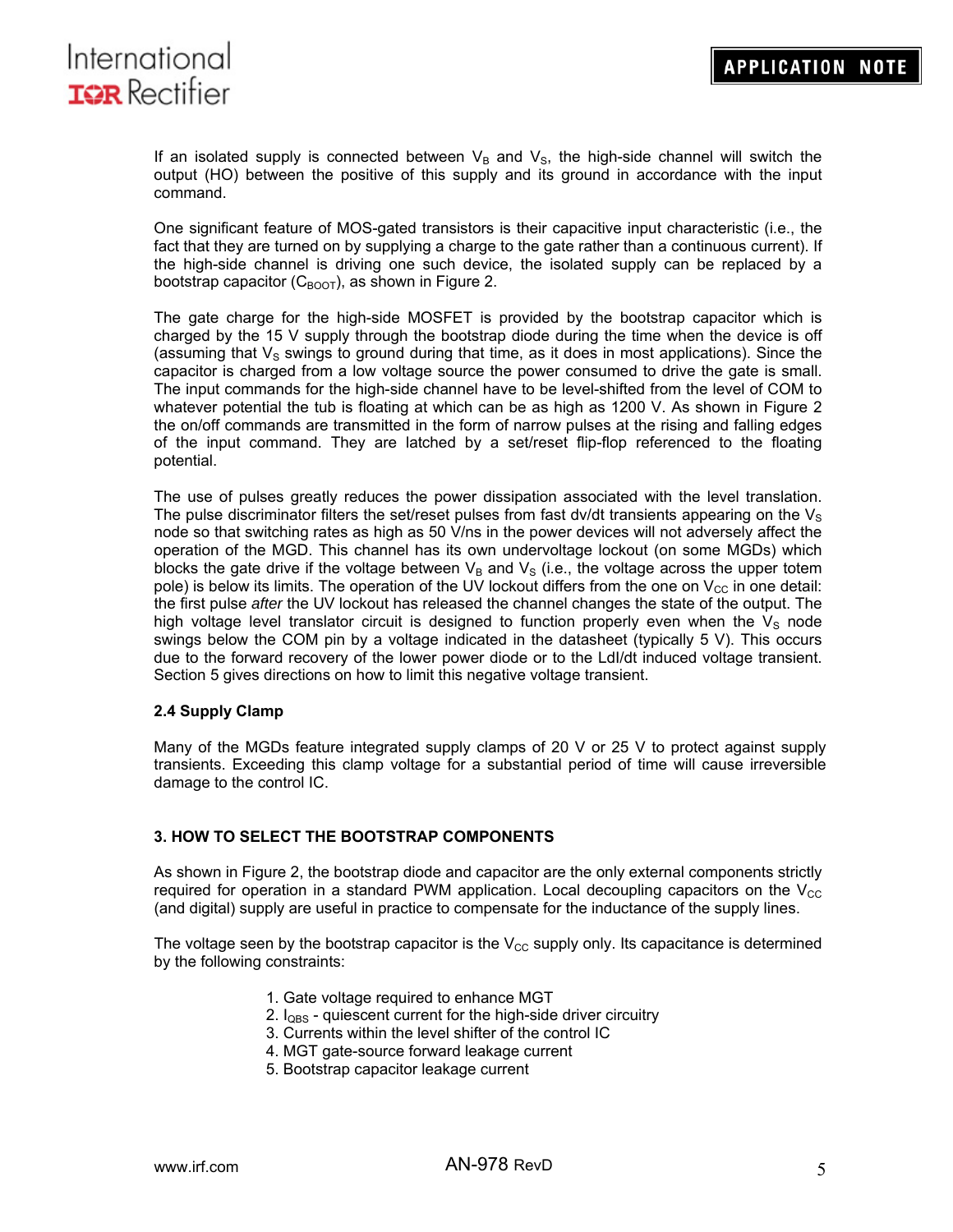

If an isolated supply is connected between  $V_B$  and  $V_S$ , the high-side channel will switch the output (HO) between the positive of this supply and its ground in accordance with the input command.

One significant feature of MOS-gated transistors is their capacitive input characteristic (i.e., the fact that they are turned on by supplying a charge to the gate rather than a continuous current). If the high-side channel is driving one such device, the isolated supply can be replaced by a bootstrap capacitor ( $C_{\text{BOOT}}$ ), as shown in Figure 2.

The gate charge for the high-side MOSFET is provided by the bootstrap capacitor which is charged by the 15 V supply through the bootstrap diode during the time when the device is off (assuming that  $V_s$  swings to ground during that time, as it does in most applications). Since the capacitor is charged from a low voltage source the power consumed to drive the gate is small. The input commands for the high-side channel have to be level-shifted from the level of COM to whatever potential the tub is floating at which can be as high as 1200 V. As shown in Figure 2 the on/off commands are transmitted in the form of narrow pulses at the rising and falling edges of the input command. They are latched by a set/reset flip-flop referenced to the floating potential.

The use of pulses greatly reduces the power dissipation associated with the level translation. The pulse discriminator filters the set/reset pulses from fast dv/dt transients appearing on the  $V_S$ node so that switching rates as high as 50 V/ns in the power devices will not adversely affect the operation of the MGD. This channel has its own undervoltage lockout (on some MGDs) which blocks the gate drive if the voltage between  $V_B$  and  $V_S$  (i.e., the voltage across the upper totem pole) is below its limits. The operation of the UV lockout differs from the one on  $V_{\text{CC}}$  in one detail: the first pulse *after* the UV lockout has released the channel changes the state of the output. The high voltage level translator circuit is designed to function properly even when the  $V_s$  node swings below the COM pin by a voltage indicated in the datasheet (typically 5 V). This occurs due to the forward recovery of the lower power diode or to the LdI/dt induced voltage transient. Section 5 gives directions on how to limit this negative voltage transient.

#### **2.4 Supply Clamp**

Many of the MGDs feature integrated supply clamps of 20 V or 25 V to protect against supply transients. Exceeding this clamp voltage for a substantial period of time will cause irreversible damage to the control IC.

#### **3. HOW TO SELECT THE BOOTSTRAP COMPONENTS**

As shown in Figure 2, the bootstrap diode and capacitor are the only external components strictly required for operation in a standard PWM application. Local decoupling capacitors on the  $V_{\text{CC}}$ (and digital) supply are useful in practice to compensate for the inductance of the supply lines.

The voltage seen by the bootstrap capacitor is the  $V_{\text{CC}}$  supply only. Its capacitance is determined by the following constraints:

- 1. Gate voltage required to enhance MGT
- 2.  $I_{\text{QBS}}$  quiescent current for the high-side driver circuitry
- 3. Currents within the level shifter of the control IC
- 4. MGT gate-source forward leakage current
- 5. Bootstrap capacitor leakage current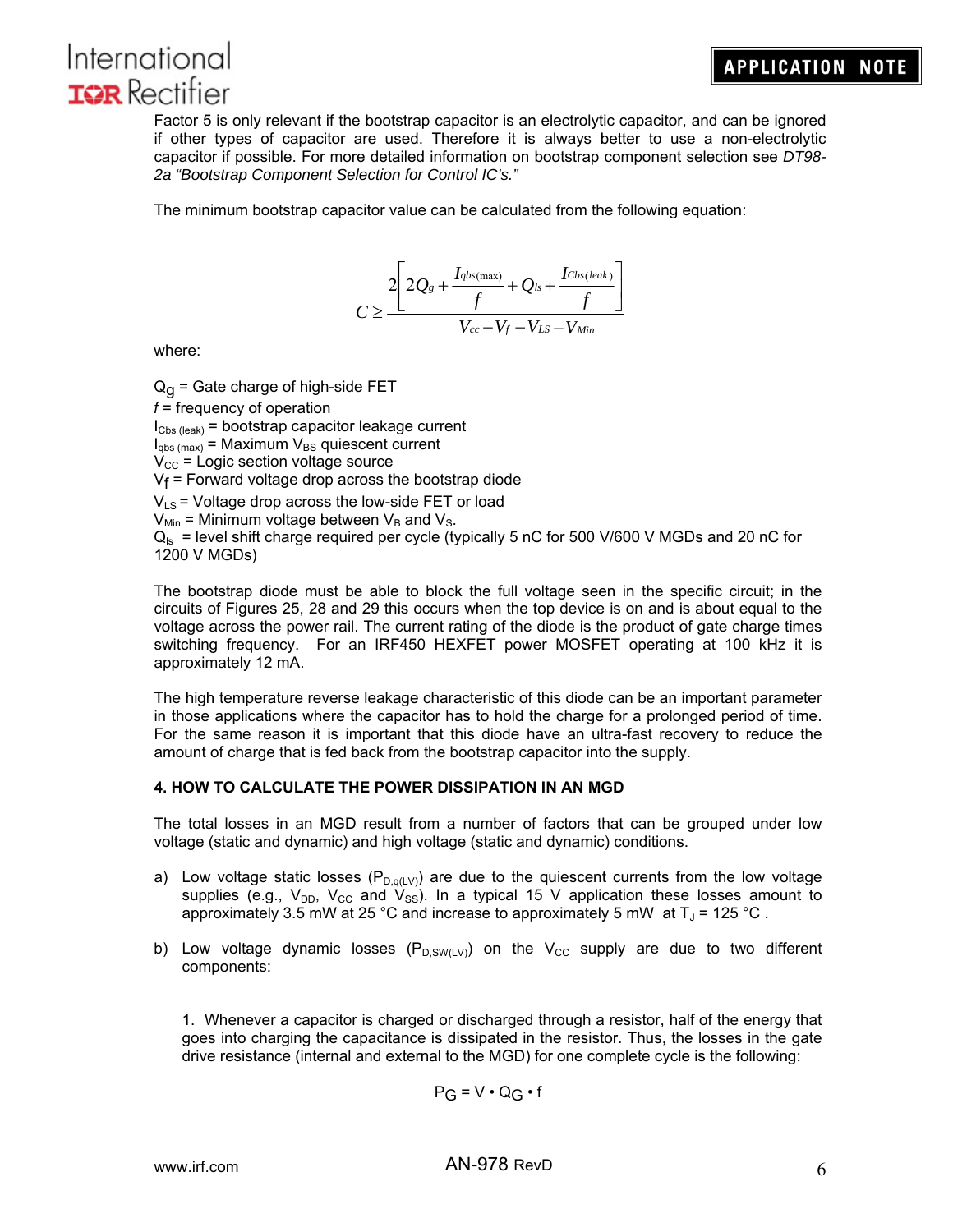# **APPLICATION NOTE**



Factor 5 is only relevant if the bootstrap capacitor is an electrolytic capacitor, and can be ignored if other types of capacitor are used. Therefore it is always better to use a non-electrolytic capacitor if possible. For more detailed information on bootstrap component selection see *DT98- 2a "Bootstrap Component Selection for Control IC's."*

The minimum bootstrap capacitor value can be calculated from the following equation:



where:

 $Q_{\Omega}$  = Gate charge of high-side FET *f* = frequency of operation  $I_{\text{Cbs (leak)}}$  = bootstrap capacitor leakage current  $I_{\text{qbs (max)}}$  = Maximum  $V_{\text{BS}}$  quiescent current  $V_{\text{CC}}$  = Logic section voltage source  $V_f$  = Forward voltage drop across the bootstrap diode  $V_{LS}$  = Voltage drop across the low-side FET or load  $V_{\text{Min}}$  = Minimum voltage between  $V_B$  and  $V_S$ .  $Q_{\rm ls}$  = level shift charge required per cycle (typically 5 nC for 500 V/600 V MGDs and 20 nC for 1200 V MGDs)

The bootstrap diode must be able to block the full voltage seen in the specific circuit; in the circuits of Figures 25, 28 and 29 this occurs when the top device is on and is about equal to the voltage across the power rail. The current rating of the diode is the product of gate charge times switching frequency. For an IRF450 HEXFET power MOSFET operating at 100 kHz it is approximately 12 mA.

The high temperature reverse leakage characteristic of this diode can be an important parameter in those applications where the capacitor has to hold the charge for a prolonged period of time. For the same reason it is important that this diode have an ultra-fast recovery to reduce the amount of charge that is fed back from the bootstrap capacitor into the supply.

### **4. HOW TO CALCULATE THE POWER DISSIPATION IN AN MGD**

The total losses in an MGD result from a number of factors that can be grouped under low voltage (static and dynamic) and high voltage (static and dynamic) conditions.

- a) Low voltage static losses ( $P_{D,q(LV)}$ ) are due to the quiescent currents from the low voltage supplies (e.g.,  $V_{DD}$ ,  $V_{CC}$  and  $V_{SS}$ ). In a typical 15 V application these losses amount to approximately 3.5 mW at 25 °C and increase to approximately 5 mW at  $T_J$  = 125 °C.
- b) Low voltage dynamic losses  $(P_{D,SW(LV)})$  on the V<sub>CC</sub> supply are due to two different components:

1. Whenever a capacitor is charged or discharged through a resistor, half of the energy that goes into charging the capacitance is dissipated in the resistor. Thus, the losses in the gate drive resistance (internal and external to the MGD) for one complete cycle is the following:

$$
P_G = V \cdot Q_G \cdot f
$$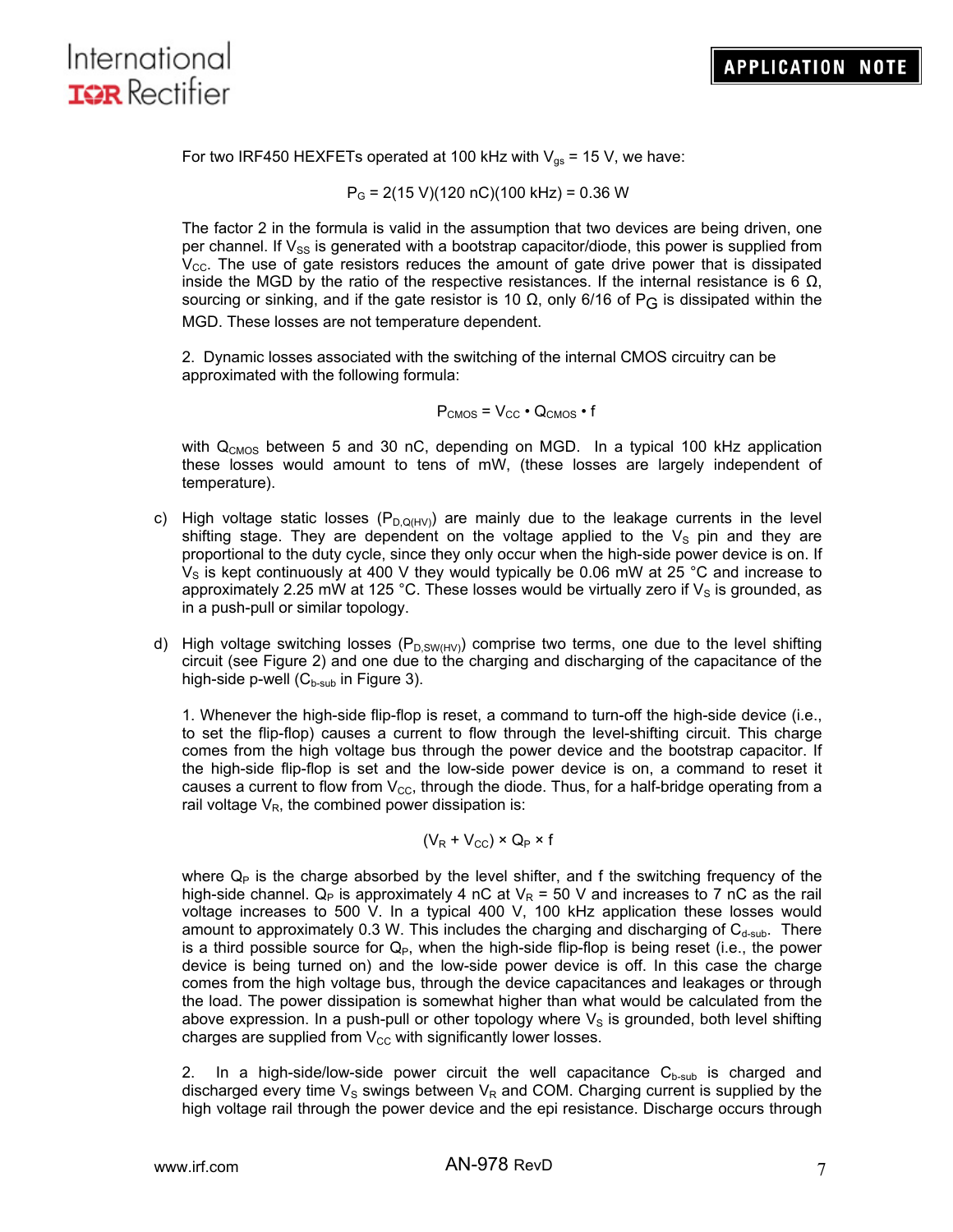

For two IRF450 HEXFETs operated at 100 kHz with  $V_{\text{gs}}$  = 15 V, we have:

 $P<sub>G</sub>$  = 2(15 V)(120 nC)(100 kHz) = 0.36 W

The factor 2 in the formula is valid in the assumption that two devices are being driven, one per channel. If  $V_{SS}$  is generated with a bootstrap capacitor/diode, this power is supplied from  $V_{\text{CC}}$ . The use of gate resistors reduces the amount of gate drive power that is dissipated inside the MGD by the ratio of the respective resistances. If the internal resistance is 6  $Ω$ , sourcing or sinking, and if the gate resistor is 10 Ω, only 6/16 of P<sub>G</sub> is dissipated within the MGD. These losses are not temperature dependent.

2. Dynamic losses associated with the switching of the internal CMOS circuitry can be approximated with the following formula:

$$
P_{CMOS} = V_{CC} \cdot Q_{CMOS} \cdot f
$$

with Q<sub>CMOS</sub> between 5 and 30 nC, depending on MGD. In a typical 100 kHz application these losses would amount to tens of mW, (these losses are largely independent of temperature).

- c) High voltage static losses ( $P_{D,Q(HV)}$ ) are mainly due to the leakage currents in the level shifting stage. They are dependent on the voltage applied to the  $V<sub>S</sub>$  pin and they are proportional to the duty cycle, since they only occur when the high-side power device is on. If  $V<sub>S</sub>$  is kept continuously at 400 V they would typically be 0.06 mW at 25 °C and increase to approximately 2.25 mW at 125 °C. These losses would be virtually zero if  $V_s$  is grounded, as in a push-pull or similar topology.
- d) High voltage switching losses ( $P_{\text{D,SW(HV)}}$ ) comprise two terms, one due to the level shifting circuit (see Figure 2) and one due to the charging and discharging of the capacitance of the high-side p-well  $(C_{b-sub}$  in Figure 3).

1. Whenever the high-side flip-flop is reset, a command to turn-off the high-side device (i.e., to set the flip-flop) causes a current to flow through the level-shifting circuit. This charge comes from the high voltage bus through the power device and the bootstrap capacitor. If the high-side flip-flop is set and the low-side power device is on, a command to reset it causes a current to flow from  $V_{\text{CC}}$ , through the diode. Thus, for a half-bridge operating from a rail voltage  $V_R$ , the combined power dissipation is:

$$
(\mathsf{V}_{\mathsf{R}} + \mathsf{V}_{\mathsf{CC}}) \times \mathsf{Q}_{\mathsf{P}} \times \mathsf{f}
$$

where  $Q_P$  is the charge absorbed by the level shifter, and f the switching frequency of the high-side channel.  $Q_P$  is approximately 4 nC at  $V_R$  = 50 V and increases to 7 nC as the rail voltage increases to 500 V. In a typical 400 V, 100 kHz application these losses would amount to approximately 0.3 W. This includes the charging and discharging of  $C_{d-sub}$ . There is a third possible source for  $Q_P$ , when the high-side flip-flop is being reset (i.e., the power device is being turned on) and the low-side power device is off. In this case the charge comes from the high voltage bus, through the device capacitances and leakages or through the load. The power dissipation is somewhat higher than what would be calculated from the above expression. In a push-pull or other topology where  $V<sub>S</sub>$  is grounded, both level shifting charges are supplied from  $V_{CC}$  with significantly lower losses.

2. In a high-side/low-side power circuit the well capacitance  $C_{b-sub}$  is charged and discharged every time  $V_S$  swings between  $V_R$  and COM. Charging current is supplied by the high voltage rail through the power device and the epi resistance. Discharge occurs through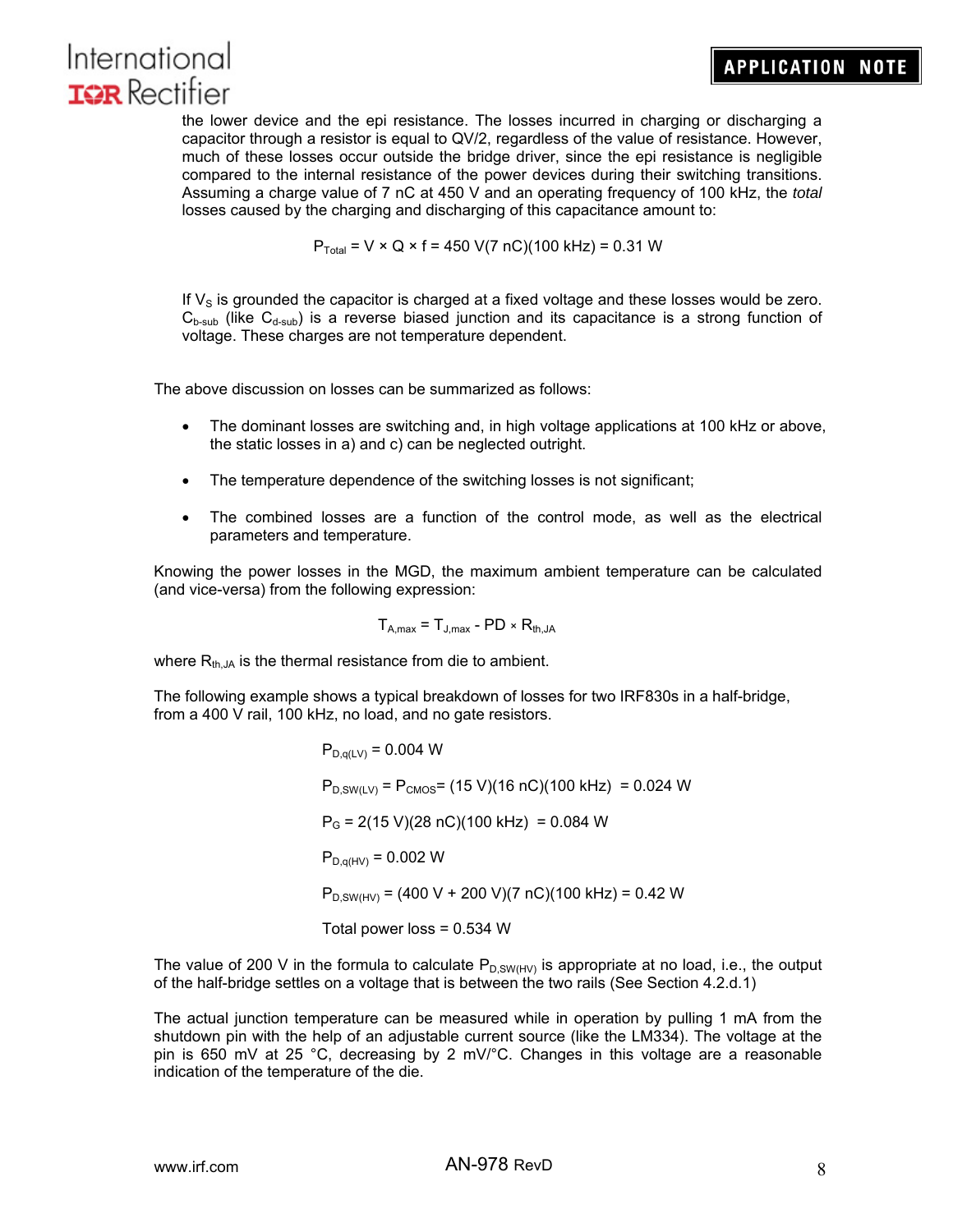the lower device and the epi resistance. The losses incurred in charging or discharging a capacitor through a resistor is equal to QV/2, regardless of the value of resistance. However, much of these losses occur outside the bridge driver, since the epi resistance is negligible compared to the internal resistance of the power devices during their switching transitions. Assuming a charge value of 7 nC at 450 V and an operating frequency of 100 kHz, the *total*  losses caused by the charging and discharging of this capacitance amount to:

 $P_{\text{Total}} = V \times Q \times f = 450 \text{ V} (7 \text{ nC}) (100 \text{ kHz}) = 0.31 \text{ W}$ 

If  $V<sub>S</sub>$  is grounded the capacitor is charged at a fixed voltage and these losses would be zero.  $C_{\text{b-sub}}$  (like  $C_{\text{d-sub}}$ ) is a reverse biased junction and its capacitance is a strong function of voltage. These charges are not temperature dependent.

The above discussion on losses can be summarized as follows:

- The dominant losses are switching and, in high voltage applications at 100 kHz or above, the static losses in a) and c) can be neglected outright.
- The temperature dependence of the switching losses is not significant;
- The combined losses are a function of the control mode, as well as the electrical parameters and temperature.

Knowing the power losses in the MGD, the maximum ambient temperature can be calculated (and vice-versa) from the following expression:

$$
T_{A,max} = T_{J,max} - PD \times R_{th,JA}
$$

where  $R_{th,JA}$  is the thermal resistance from die to ambient.

The following example shows a typical breakdown of losses for two IRF830s in a half-bridge, from a 400 V rail, 100 kHz, no load, and no gate resistors.

> $P_{D,q(LV)} = 0.004 W$  $P_{D,SW(LV)} = P_{CMOS} = (15 V)(16 nC)(100 kHz) = 0.024 W$  $P_G$  = 2(15 V)(28 nC)(100 kHz) = 0.084 W  $P_{D,q(HV)} = 0.002 W$  $P_{D,SW(HV)} = (400 V + 200 V)(7 nC)(100 kHz) = 0.42 W$ Total power loss = 0.534 W

The value of 200 V in the formula to calculate  $P_{D,SW(HV)}$  is appropriate at no load, i.e., the output of the half-bridge settles on a voltage that is between the two rails (See Section 4.2.d.1)

The actual junction temperature can be measured while in operation by pulling 1 mA from the shutdown pin with the help of an adjustable current source (like the LM334). The voltage at the pin is 650 mV at 25 °C, decreasing by 2 mV/°C. Changes in this voltage are a reasonable indication of the temperature of the die.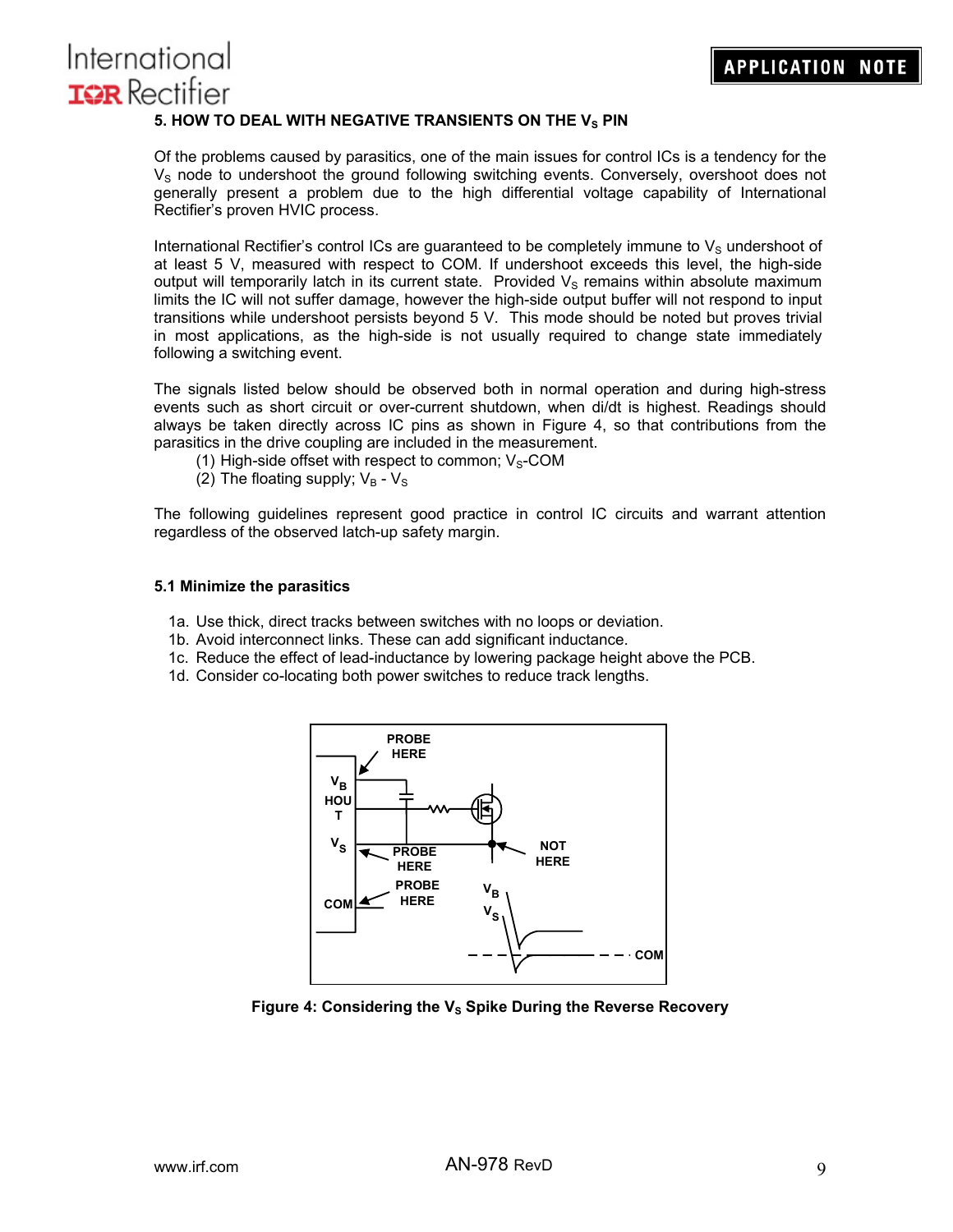## 5. HOW TO DEAL WITH NEGATIVE TRANSIENTS ON THE V<sub>S</sub> PIN

Of the problems caused by parasitics, one of the main issues for control ICs is a tendency for the  $V<sub>S</sub>$  node to undershoot the ground following switching events. Conversely, overshoot does not generally present a problem due to the high differential voltage capability of International Rectifier's proven HVIC process.

International Rectifier's control ICs are guaranteed to be completely immune to  $V<sub>S</sub>$  undershoot of at least 5 V, measured with respect to COM. If undershoot exceeds this level, the high-side output will temporarily latch in its current state. Provided  $V<sub>S</sub>$  remains within absolute maximum limits the IC will not suffer damage, however the high-side output buffer will not respond to input transitions while undershoot persists beyond 5 V. This mode should be noted but proves trivial in most applications, as the high-side is not usually required to change state immediately following a switching event.

The signals listed below should be observed both in normal operation and during high-stress events such as short circuit or over-current shutdown, when di/dt is highest. Readings should always be taken directly across IC pins as shown in Figure 4, so that contributions from the parasitics in the drive coupling are included in the measurement.

- (1) High-side offset with respect to common;  $V_S$ -COM
- (2) The floating supply;  $V_B V_S$

The following guidelines represent good practice in control IC circuits and warrant attention regardless of the observed latch-up safety margin.

#### **5.1 Minimize the parasitics**

- 1a. Use thick, direct tracks between switches with no loops or deviation.
- 1b. Avoid interconnect links. These can add significant inductance.
- 1c. Reduce the effect of lead-inductance by lowering package height above the PCB.
- 1d. Consider co-locating both power switches to reduce track lengths.



Figure 4: Considering the V<sub>s</sub> Spike During the Reverse Recovery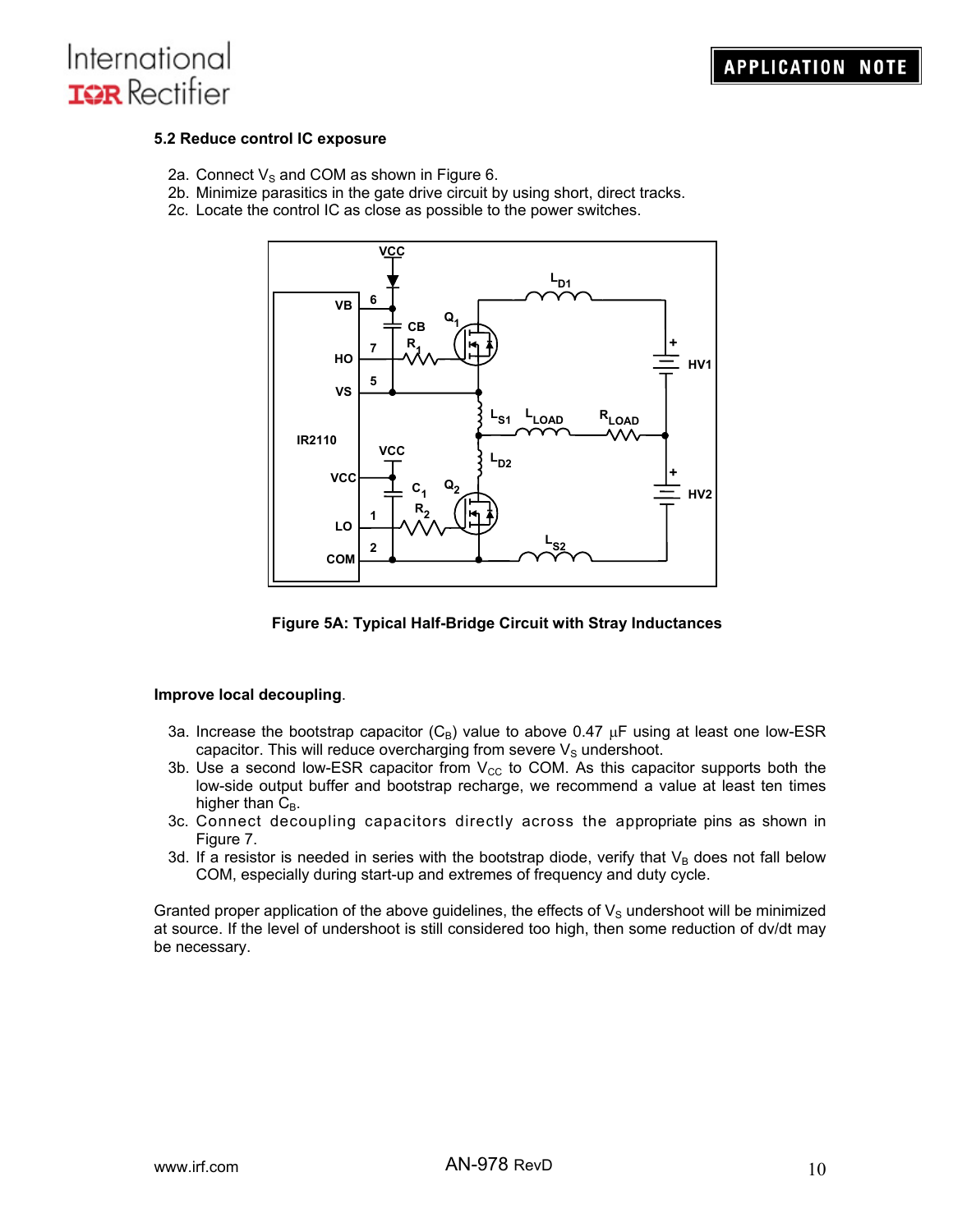

#### **5.2 Reduce control IC exposure**

- 2a. Connect  $V_S$  and COM as shown in Figure 6.
- 2b. Minimize parasitics in the gate drive circuit by using short, direct tracks.
- 2c. Locate the control IC as close as possible to the power switches.



**Figure 5A: Typical Half-Bridge Circuit with Stray Inductances** 

#### **Improve local decoupling**.

- 3a. Increase the bootstrap capacitor  $(C_B)$  value to above 0.47  $\mu$ F using at least one low-ESR capacitor. This will reduce overcharging from severe  $V<sub>S</sub>$  undershoot.
- 3b. Use a second low-ESR capacitor from  $V_{CC}$  to COM. As this capacitor supports both the low-side output buffer and bootstrap recharge, we recommend a value at least ten times higher than  $C_B$ .
- 3c. Connect decoupling capacitors directly across the appropriate pins as shown in Figure 7.
- 3d. If a resistor is needed in series with the bootstrap diode, verify that  $V_B$  does not fall below COM, especially during start-up and extremes of frequency and duty cycle.

Granted proper application of the above guidelines, the effects of  $V_{\rm S}$  undershoot will be minimized at source. If the level of undershoot is still considered too high, then some reduction of dv/dt may be necessary.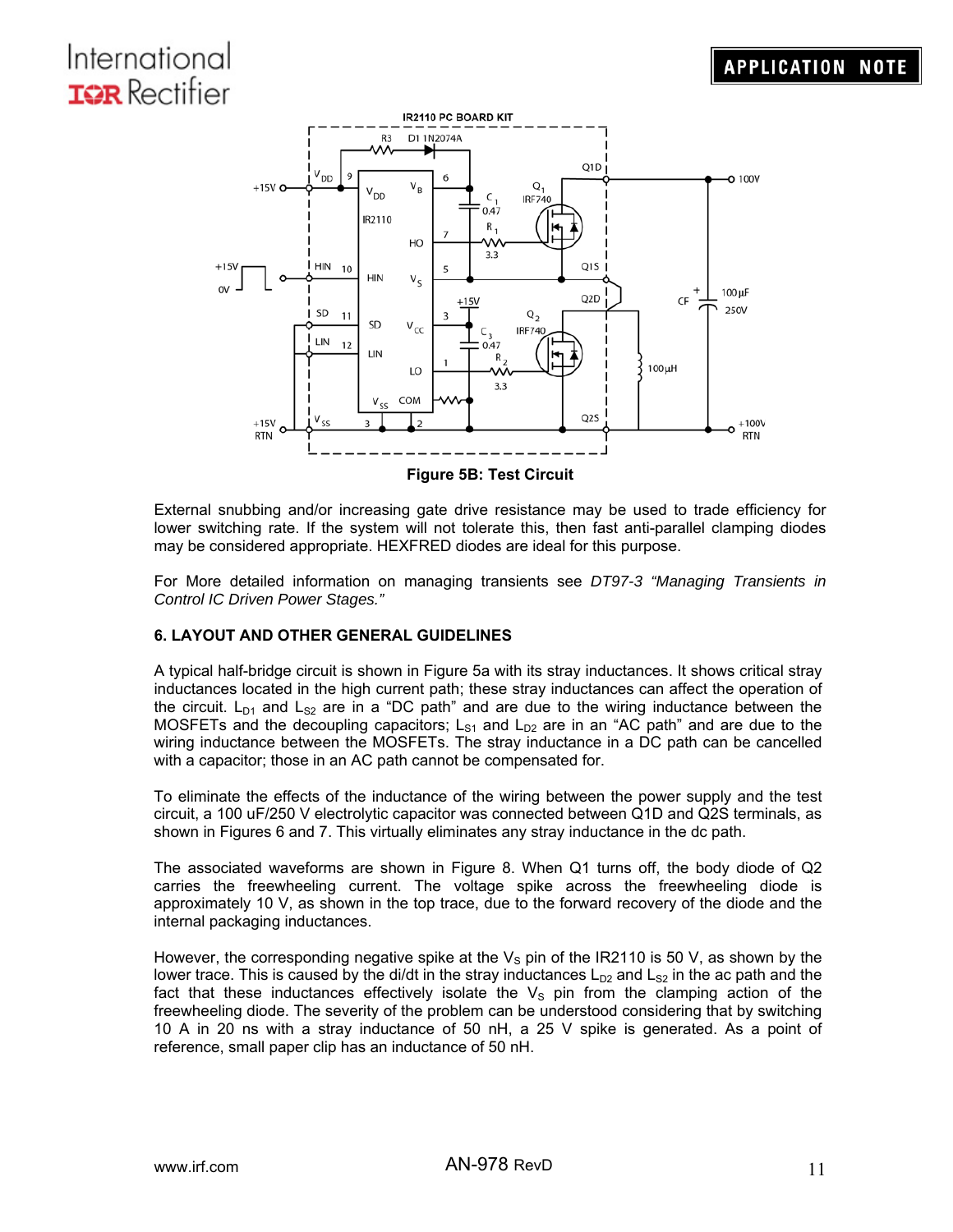

External snubbing and/or increasing gate drive resistance may be used to trade efficiency for lower switching rate. If the system will not tolerate this, then fast anti-parallel clamping diodes may be considered appropriate. HEXFRED diodes are ideal for this purpose.

For More detailed information on managing transients see *DT97-3 "Managing Transients in Control IC Driven Power Stages."* 

## **6. LAYOUT AND OTHER GENERAL GUIDELINES**

A typical half-bridge circuit is shown in Figure 5a with its stray inductances. It shows critical stray inductances located in the high current path; these stray inductances can affect the operation of the circuit.  $L_{D1}$  and  $L_{S2}$  are in a "DC path" and are due to the wiring inductance between the MOSFETs and the decoupling capacitors;  $L_{S1}$  and  $L_{D2}$  are in an "AC path" and are due to the wiring inductance between the MOSFETs. The stray inductance in a DC path can be cancelled with a capacitor; those in an AC path cannot be compensated for.

To eliminate the effects of the inductance of the wiring between the power supply and the test circuit, a 100 uF/250 V electrolytic capacitor was connected between Q1D and Q2S terminals, as shown in Figures 6 and 7. This virtually eliminates any stray inductance in the dc path.

The associated waveforms are shown in Figure 8. When Q1 turns off, the body diode of Q2 carries the freewheeling current. The voltage spike across the freewheeling diode is approximately 10 V, as shown in the top trace, due to the forward recovery of the diode and the internal packaging inductances.

However, the corresponding negative spike at the  $V<sub>S</sub>$  pin of the IR2110 is 50 V, as shown by the lower trace. This is caused by the di/dt in the stray inductances  $L_{D2}$  and  $L_{S2}$  in the ac path and the fact that these inductances effectively isolate the  $V<sub>S</sub>$  pin from the clamping action of the freewheeling diode. The severity of the problem can be understood considering that by switching 10 A in 20 ns with a stray inductance of 50 nH, a 25 V spike is generated. As a point of reference, small paper clip has an inductance of 50 nH.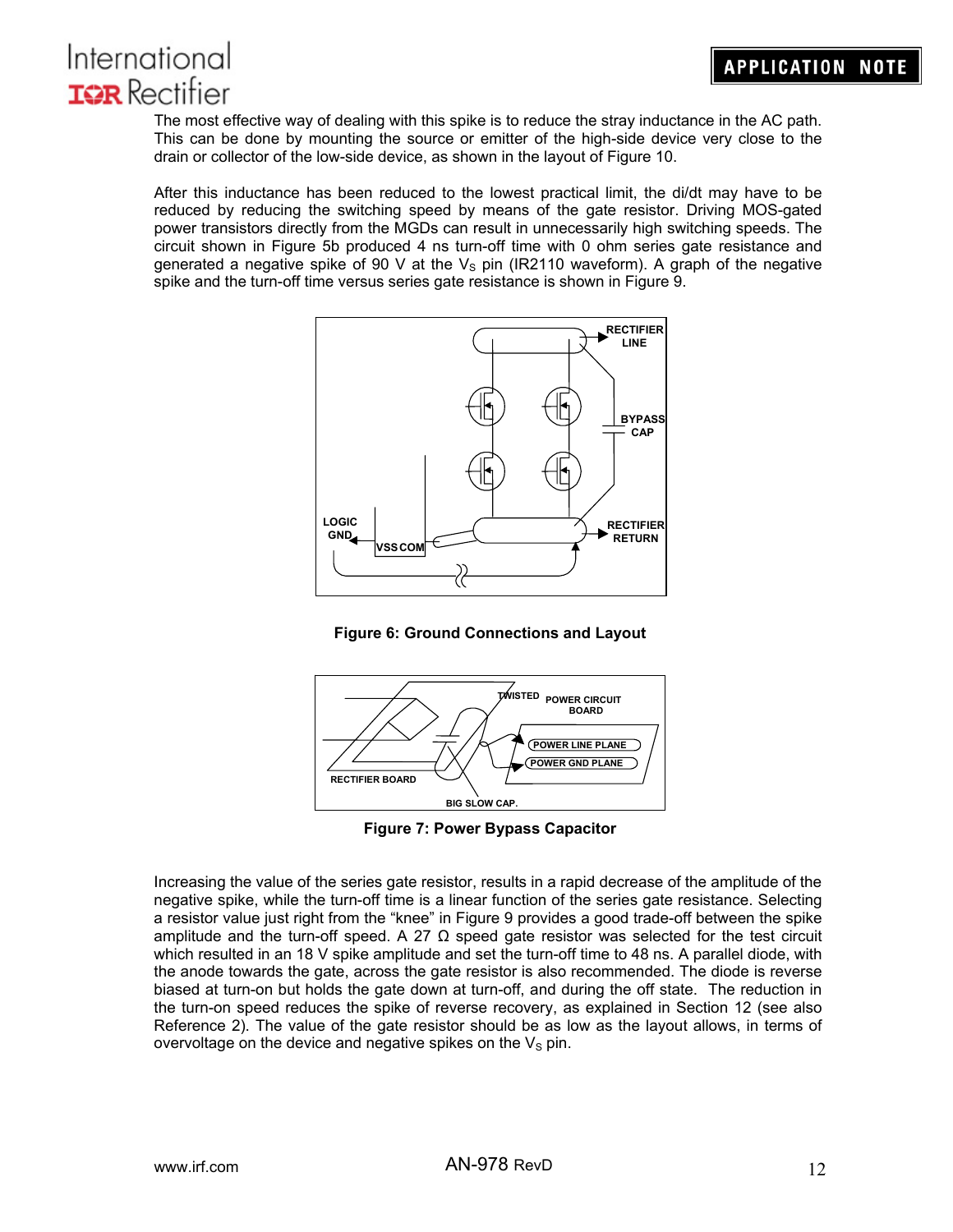

The most effective way of dealing with this spike is to reduce the stray inductance in the AC path. This can be done by mounting the source or emitter of the high-side device very close to the drain or collector of the low-side device, as shown in the layout of Figure 10.

After this inductance has been reduced to the lowest practical limit, the di/dt may have to be reduced by reducing the switching speed by means of the gate resistor. Driving MOS-gated power transistors directly from the MGDs can result in unnecessarily high switching speeds. The circuit shown in Figure 5b produced 4 ns turn-off time with 0 ohm series gate resistance and generated a negative spike of 90 V at the  $V_s$  pin (IR2110 waveform). A graph of the negative spike and the turn-off time versus series gate resistance is shown in Figure 9.







**Figure 7: Power Bypass Capacitor** 

Increasing the value of the series gate resistor, results in a rapid decrease of the amplitude of the negative spike, while the turn-off time is a linear function of the series gate resistance. Selecting a resistor value just right from the "knee" in Figure 9 provides a good trade-off between the spike amplitude and the turn-off speed. A 27  $\Omega$  speed gate resistor was selected for the test circuit which resulted in an 18 V spike amplitude and set the turn-off time to 48 ns. A parallel diode, with the anode towards the gate, across the gate resistor is also recommended. The diode is reverse biased at turn-on but holds the gate down at turn-off, and during the off state. The reduction in the turn-on speed reduces the spike of reverse recovery, as explained in Section 12 (see also Reference 2). The value of the gate resistor should be as low as the layout allows, in terms of overvoltage on the device and negative spikes on the  $V<sub>S</sub>$  pin.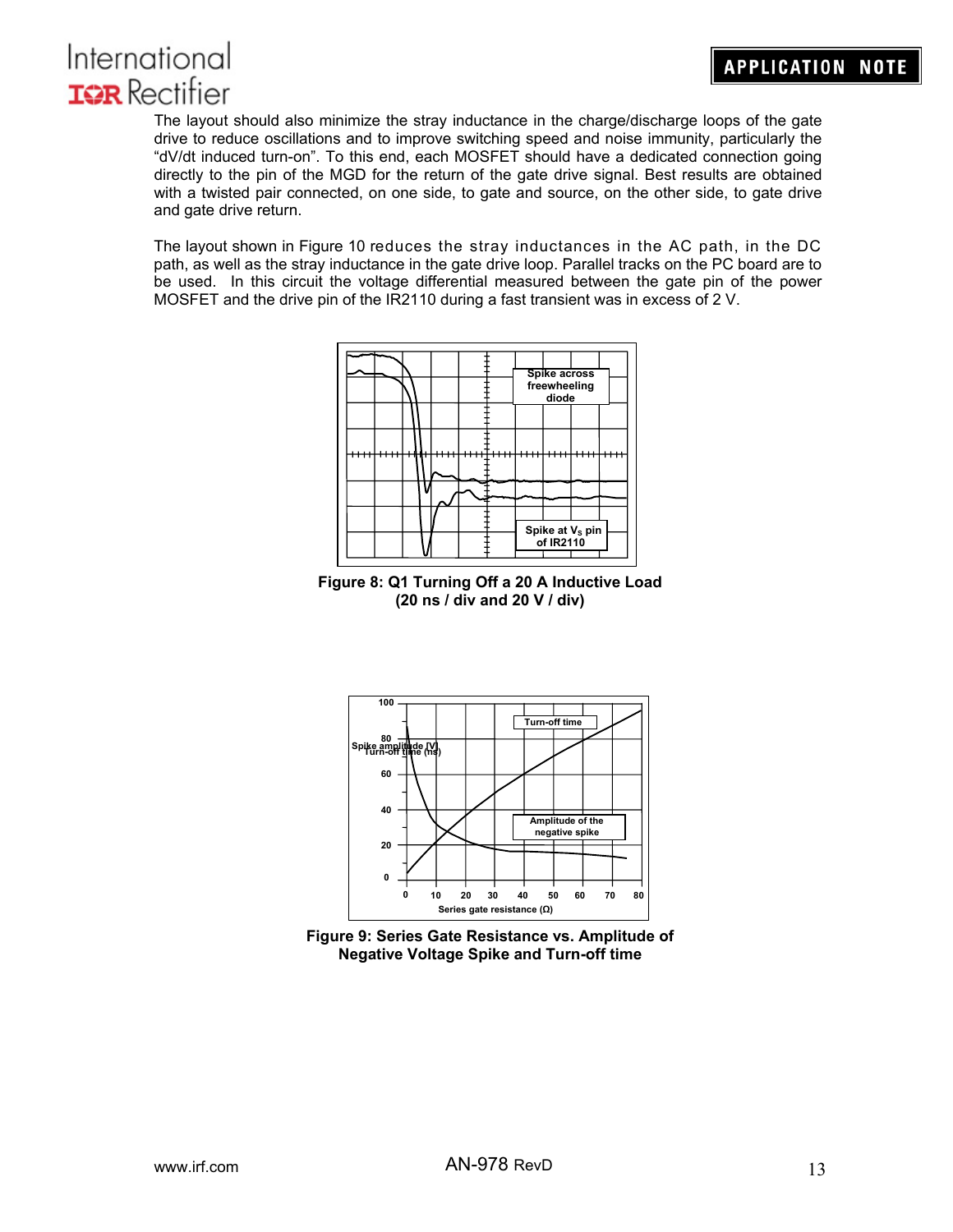

The layout should also minimize the stray inductance in the charge/discharge loops of the gate drive to reduce oscillations and to improve switching speed and noise immunity, particularly the "dV/dt induced turn-on". To this end, each MOSFET should have a dedicated connection going directly to the pin of the MGD for the return of the gate drive signal. Best results are obtained with a twisted pair connected, on one side, to gate and source, on the other side, to gate drive and gate drive return.

The layout shown in Figure 10 reduces the stray inductances in the AC path, in the DC path, as well as the stray inductance in the gate drive loop. Parallel tracks on the PC board are to be used. In this circuit the voltage differential measured between the gate pin of the power MOSFET and the drive pin of the IR2110 during a fast transient was in excess of 2 V.



**Figure 8: Q1 Turning Off a 20 A Inductive Load (20 ns / div and 20 V / div)** 



**Figure 9: Series Gate Resistance vs. Amplitude of Negative Voltage Spike and Turn-off time**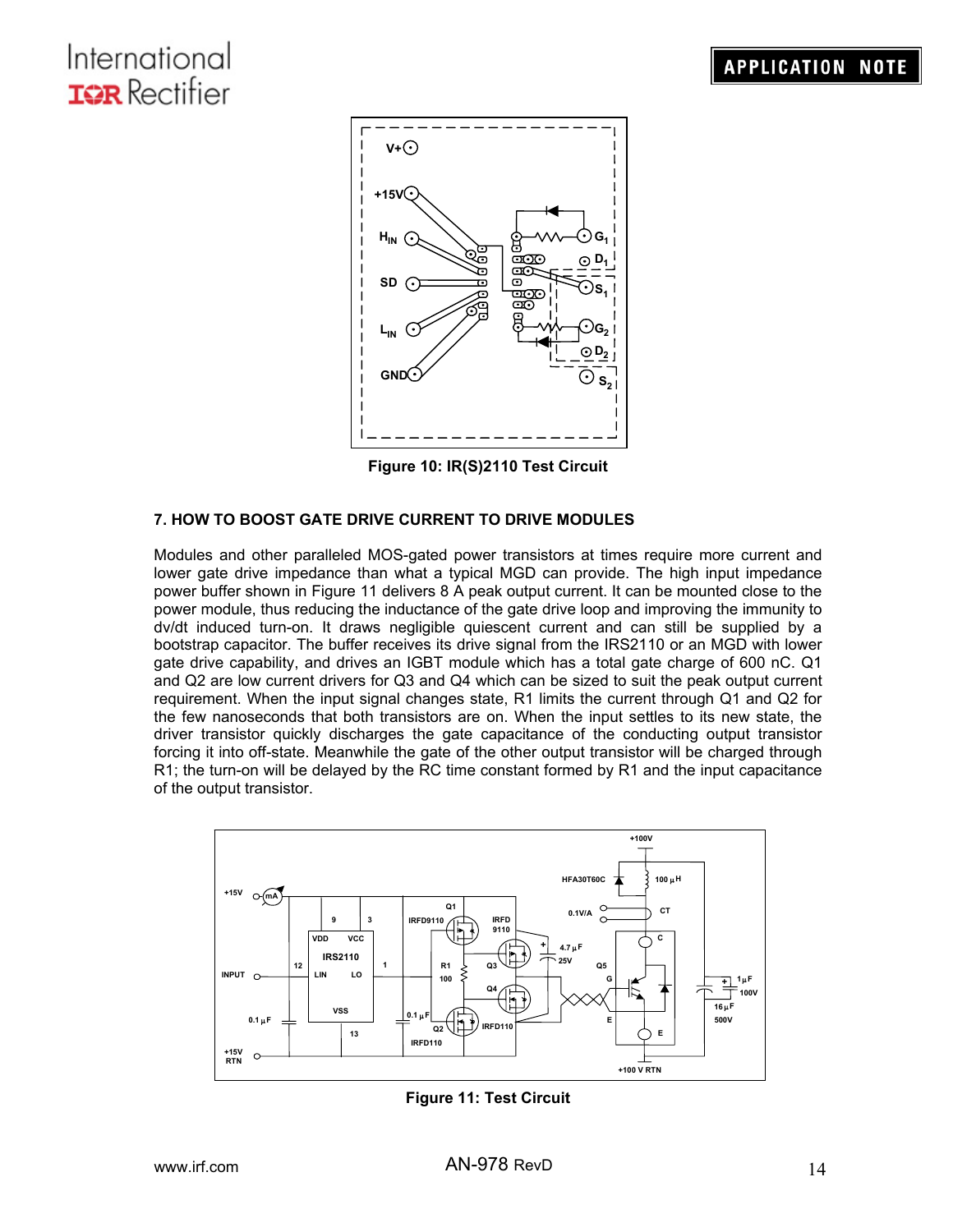# **APPLICATION NOTE**

# International **TOR** Rectifier



**Figure 10: IR(S)2110 Test Circuit** 

## **7. HOW TO BOOST GATE DRIVE CURRENT TO DRIVE MODULES**

Modules and other paralleled MOS-gated power transistors at times require more current and lower gate drive impedance than what a typical MGD can provide. The high input impedance power buffer shown in Figure 11 delivers 8 A peak output current. It can be mounted close to the power module, thus reducing the inductance of the gate drive loop and improving the immunity to dv/dt induced turn-on. It draws negligible quiescent current and can still be supplied by a bootstrap capacitor. The buffer receives its drive signal from the IRS2110 or an MGD with lower gate drive capability, and drives an IGBT module which has a total gate charge of 600 nC. Q1 and Q2 are low current drivers for Q3 and Q4 which can be sized to suit the peak output current requirement. When the input signal changes state, R1 limits the current through Q1 and Q2 for the few nanoseconds that both transistors are on. When the input settles to its new state, the driver transistor quickly discharges the gate capacitance of the conducting output transistor forcing it into off-state. Meanwhile the gate of the other output transistor will be charged through R1; the turn-on will be delayed by the RC time constant formed by R1 and the input capacitance of the output transistor.



**Figure 11: Test Circuit**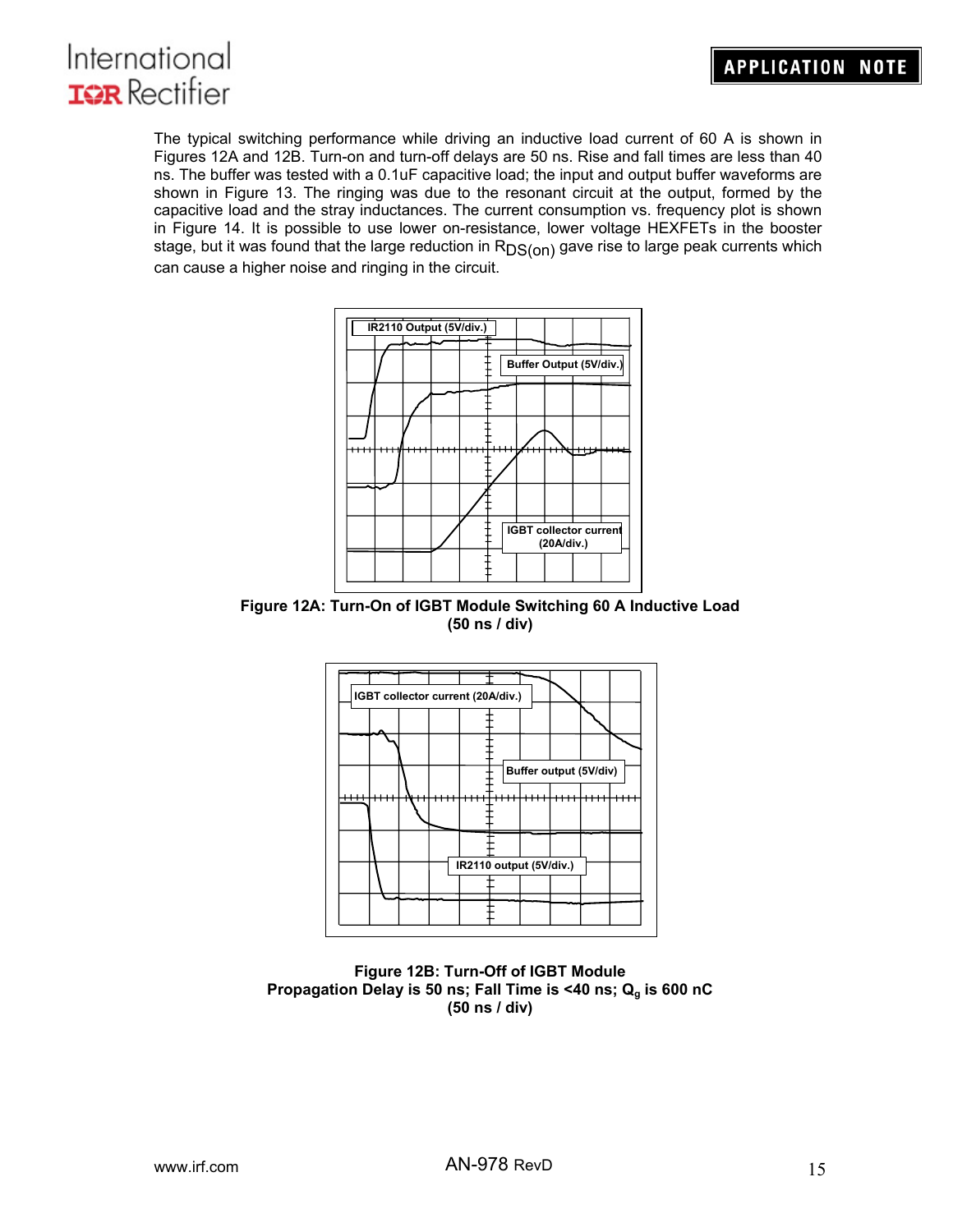

The typical switching performance while driving an inductive load current of 60 A is shown in Figures 12A and 12B. Turn-on and turn-off delays are 50 ns. Rise and fall times are less than 40 ns. The buffer was tested with a 0.1uF capacitive load; the input and output buffer waveforms are shown in Figure 13. The ringing was due to the resonant circuit at the output, formed by the capacitive load and the stray inductances. The current consumption vs. frequency plot is shown in Figure 14. It is possible to use lower on-resistance, lower voltage HEXFETs in the booster stage, but it was found that the large reduction in  $R_{DS(0n)}$  gave rise to large peak currents which can cause a higher noise and ringing in the circuit.



**Figure 12A: Turn-On of IGBT Module Switching 60 A Inductive Load (50 ns / div)** 



**Figure 12B: Turn-Off of IGBT Module**  Propagation Delay is 50 ns; Fall Time is <40 ns; Q<sub>a</sub> is 600 nC **(50 ns / div)**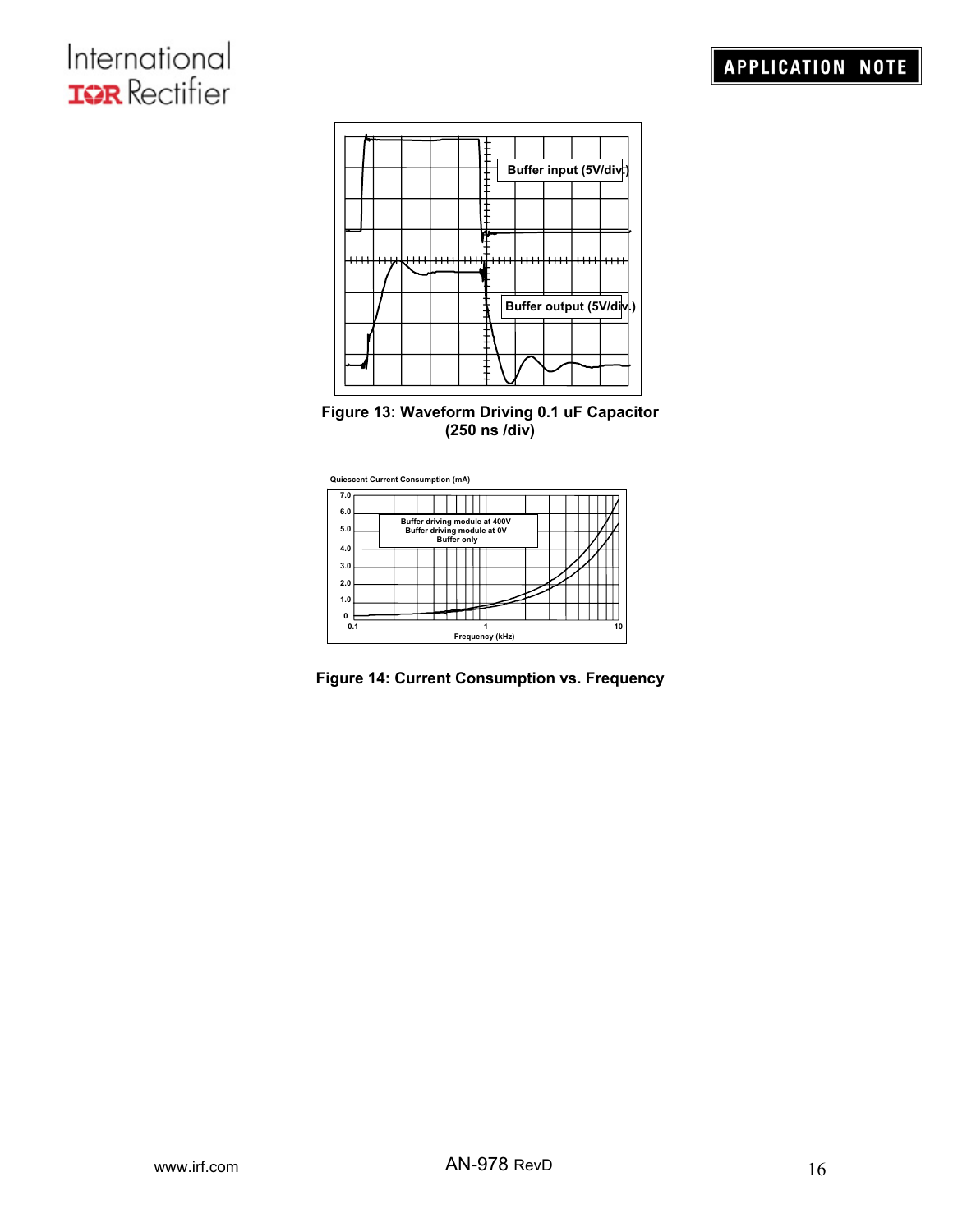





**Figure 14: Current Consumption vs. Frequency**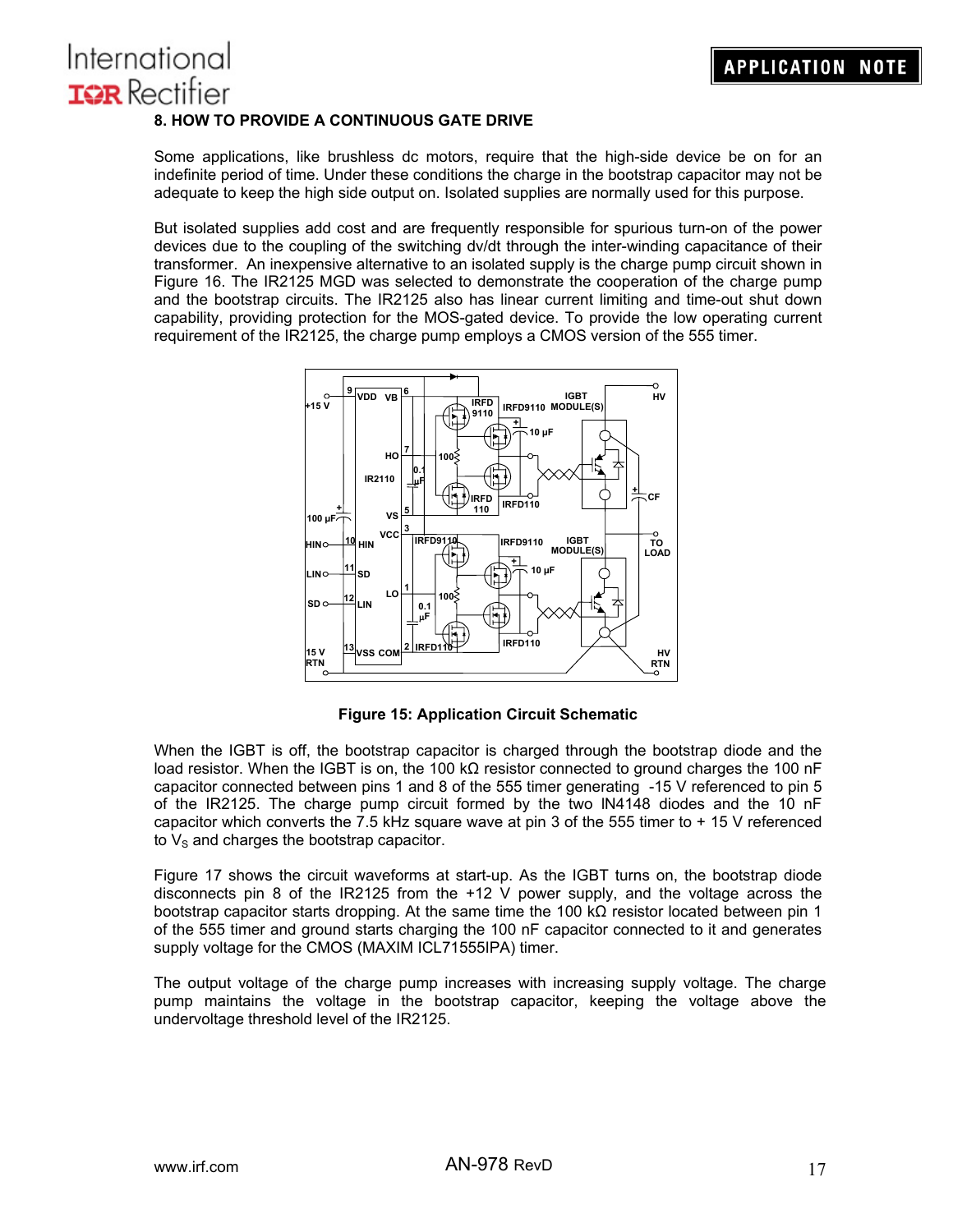# International **IGR** Rectifier **8. HOW TO PROVIDE A CONTINUOUS GATE DRIVE**

Some applications, like brushless dc motors, require that the high-side device be on for an indefinite period of time. Under these conditions the charge in the bootstrap capacitor may not be adequate to keep the high side output on. Isolated supplies are normally used for this purpose.

But isolated supplies add cost and are frequently responsible for spurious turn-on of the power devices due to the coupling of the switching dv/dt through the inter-winding capacitance of their transformer. An inexpensive alternative to an isolated supply is the charge pump circuit shown in Figure 16. The IR2125 MGD was selected to demonstrate the cooperation of the charge pump and the bootstrap circuits. The IR2125 also has linear current limiting and time-out shut down capability, providing protection for the MOS-gated device. To provide the low operating current requirement of the IR2125, the charge pump employs a CMOS version of the 555 timer.



**Figure 15: Application Circuit Schematic** 

When the IGBT is off, the bootstrap capacitor is charged through the bootstrap diode and the load resistor. When the IGBT is on, the 100 kΩ resistor connected to ground charges the 100 nF capacitor connected between pins 1 and 8 of the 555 timer generating -15 V referenced to pin 5 of the IR2125. The charge pump circuit formed by the two lN4148 diodes and the 10 nF capacitor which converts the 7.5 kHz square wave at pin 3 of the 555 timer to  $+15$  V referenced to  $V_{\rm S}$  and charges the bootstrap capacitor.

Figure 17 shows the circuit waveforms at start-up. As the IGBT turns on, the bootstrap diode disconnects pin 8 of the IR2125 from the +12 V power supply, and the voltage across the bootstrap capacitor starts dropping. At the same time the 100 kΩ resistor located between pin 1 of the 555 timer and ground starts charging the 100 nF capacitor connected to it and generates supply voltage for the CMOS (MAXIM ICL71555IPA) timer.

The output voltage of the charge pump increases with increasing supply voltage. The charge pump maintains the voltage in the bootstrap capacitor, keeping the voltage above the undervoltage threshold level of the IR2125.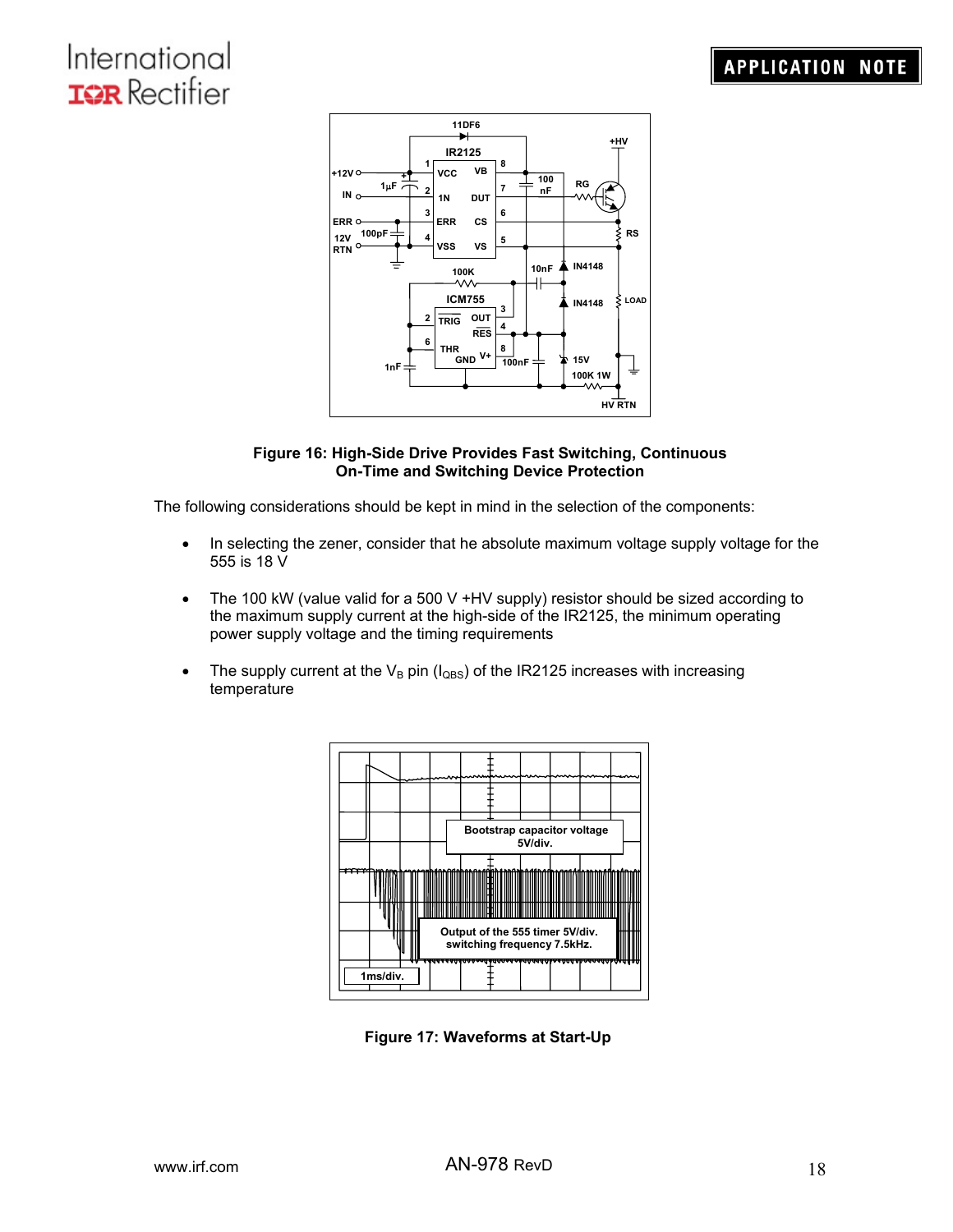

#### **Figure 16: High-Side Drive Provides Fast Switching, Continuous On-Time and Switching Device Protection**

The following considerations should be kept in mind in the selection of the components:

- In selecting the zener, consider that he absolute maximum voltage supply voltage for the 555 is 18 V
- The 100 kW (value valid for a 500 V +HV supply) resistor should be sized according to the maximum supply current at the high-side of the IR2125, the minimum operating power supply voltage and the timing requirements
- The supply current at the  $V_B$  pin ( $I_{QBS}$ ) of the IR2125 increases with increasing temperature



**Figure 17: Waveforms at Start-Up**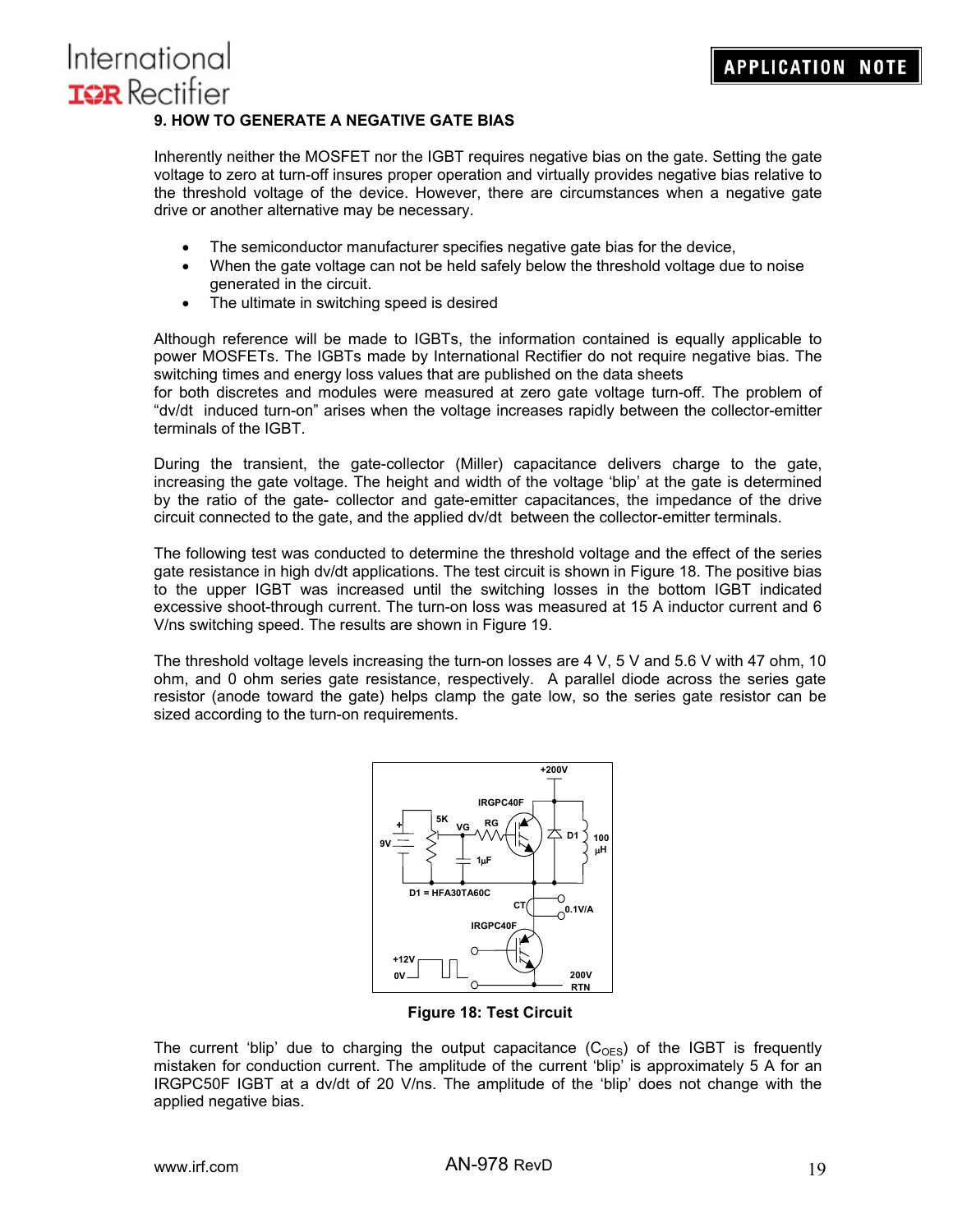## **9. HOW TO GENERATE A NEGATIVE GATE BIAS**

Inherently neither the MOSFET nor the IGBT requires negative bias on the gate. Setting the gate voltage to zero at turn-off insures proper operation and virtually provides negative bias relative to the threshold voltage of the device. However, there are circumstances when a negative gate drive or another alternative may be necessary.

- The semiconductor manufacturer specifies negative gate bias for the device,
- When the gate voltage can not be held safely below the threshold voltage due to noise generated in the circuit.
- The ultimate in switching speed is desired

Although reference will be made to IGBTs, the information contained is equally applicable to power MOSFETs. The IGBTs made by International Rectifier do not require negative bias. The switching times and energy loss values that are published on the data sheets

for both discretes and modules were measured at zero gate voltage turn-off. The problem of "dv/dt induced turn-on" arises when the voltage increases rapidly between the collector-emitter terminals of the IGBT.

During the transient, the gate-collector (Miller) capacitance delivers charge to the gate, increasing the gate voltage. The height and width of the voltage 'blip' at the gate is determined by the ratio of the gate- collector and gate-emitter capacitances, the impedance of the drive circuit connected to the gate, and the applied dv/dt between the collector-emitter terminals.

The following test was conducted to determine the threshold voltage and the effect of the series gate resistance in high dv/dt applications. The test circuit is shown in Figure 18. The positive bias to the upper IGBT was increased until the switching losses in the bottom IGBT indicated excessive shoot-through current. The turn-on loss was measured at 15 A inductor current and 6 V/ns switching speed. The results are shown in Figure 19.

The threshold voltage levels increasing the turn-on losses are 4 V, 5 V and 5.6 V with 47 ohm, 10 ohm, and 0 ohm series gate resistance, respectively. A parallel diode across the series gate resistor (anode toward the gate) helps clamp the gate low, so the series gate resistor can be sized according to the turn-on requirements.



**Figure 18: Test Circuit** 

The current 'blip' due to charging the output capacitance  $(C_{\text{OES}})$  of the IGBT is frequently mistaken for conduction current. The amplitude of the current 'blip' is approximately 5 A for an IRGPC50F IGBT at a dv/dt of 20 V/ns. The amplitude of the 'blip' does not change with the applied negative bias.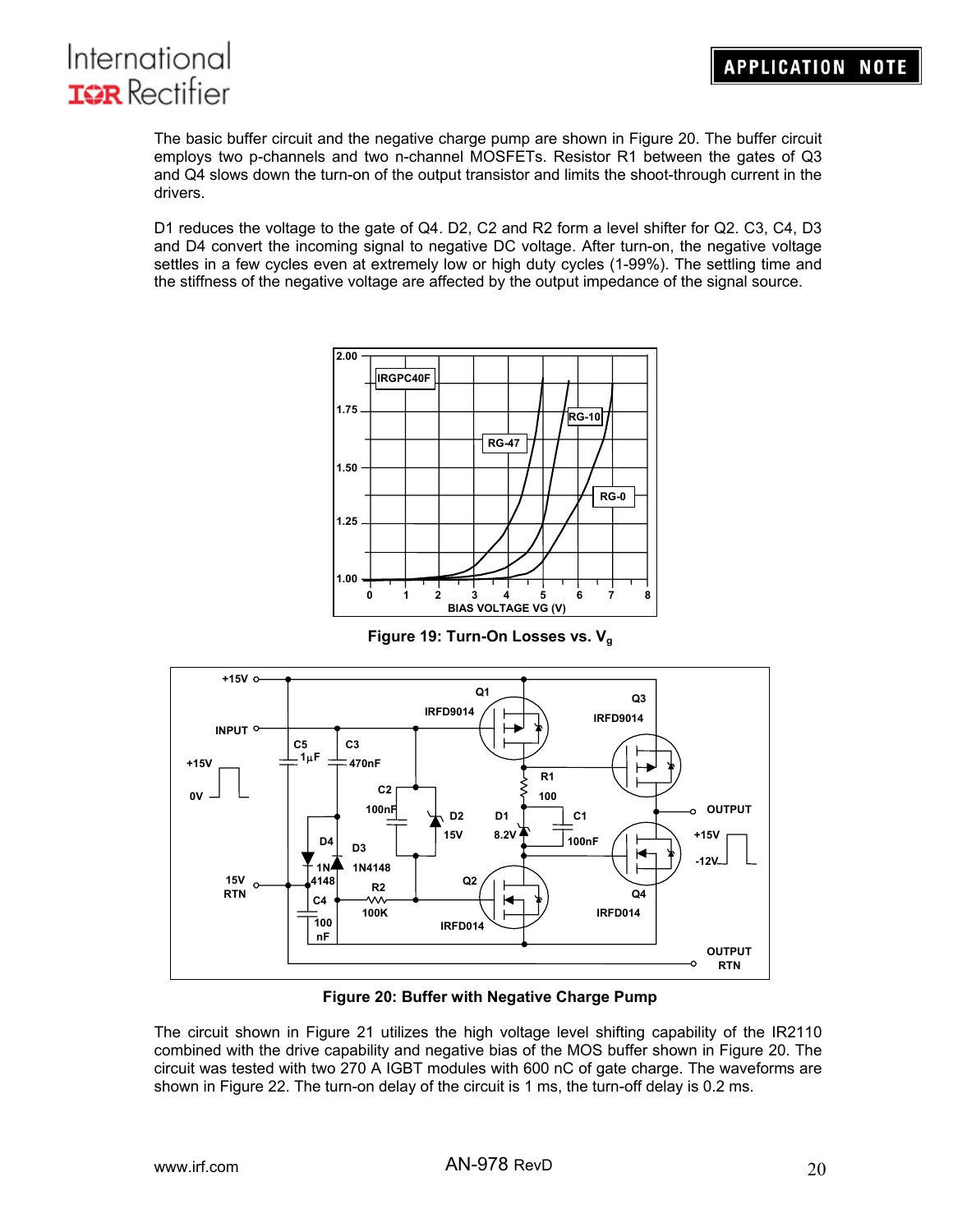

The basic buffer circuit and the negative charge pump are shown in Figure 20. The buffer circuit employs two p-channels and two n-channel MOSFETs. Resistor R1 between the gates of Q3 and Q4 slows down the turn-on of the output transistor and limits the shoot-through current in the drivers.

D1 reduces the voltage to the gate of Q4. D2, C2 and R2 form a level shifter for Q2. C3, C4, D3 and D4 convert the incoming signal to negative DC voltage. After turn-on, the negative voltage settles in a few cycles even at extremely low or high duty cycles (1-99%). The settling time and the stiffness of the negative voltage are affected by the output impedance of the signal source.



**Figure 19: Turn-On Losses vs. Vg**



**Figure 20: Buffer with Negative Charge Pump** 

The circuit shown in Figure 21 utilizes the high voltage level shifting capability of the IR2110 combined with the drive capability and negative bias of the MOS buffer shown in Figure 20. The circuit was tested with two 270 A IGBT modules with 600 nC of gate charge. The waveforms are shown in Figure 22. The turn-on delay of the circuit is 1 ms, the turn-off delay is 0.2 ms.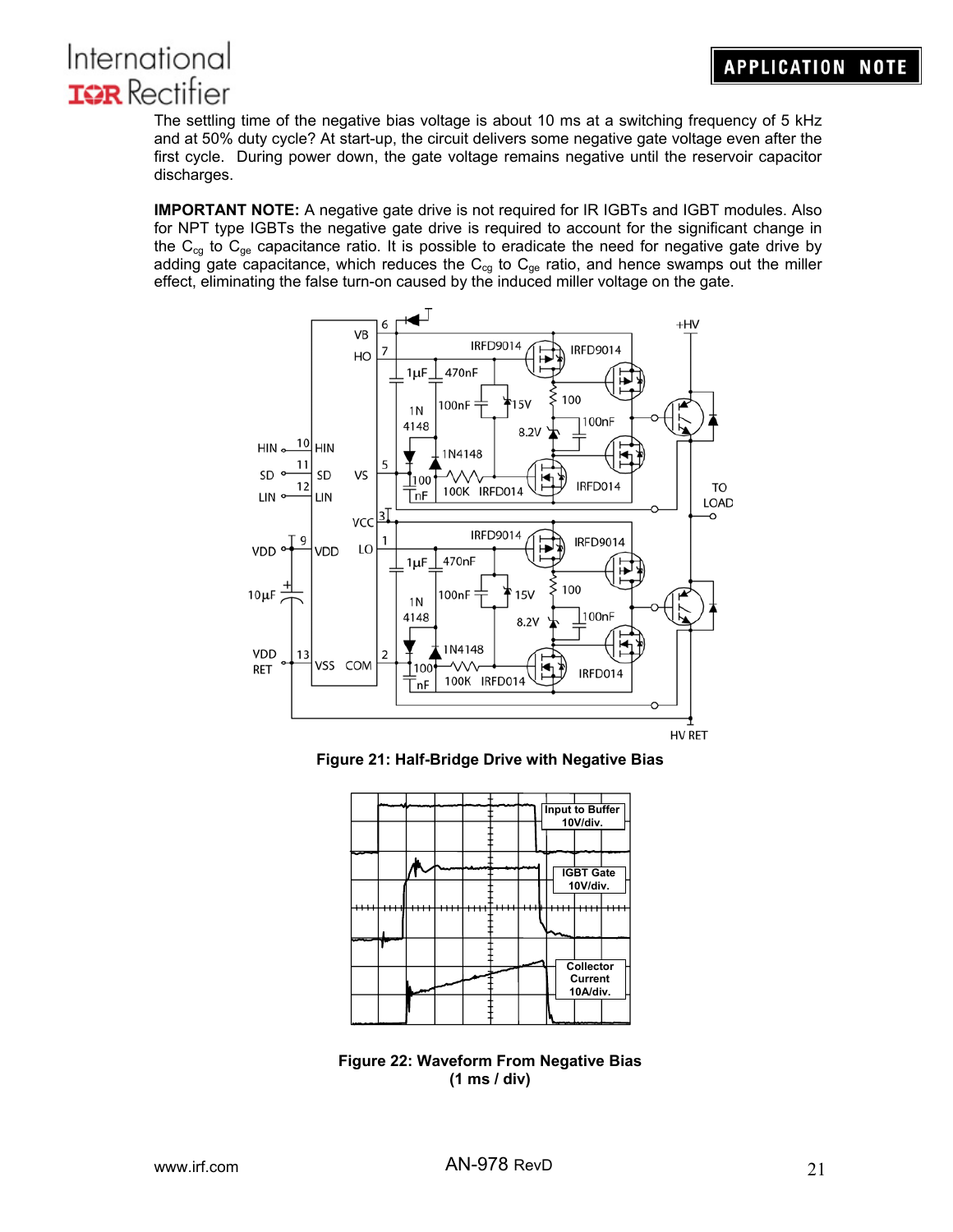# **APPLICATION NOTE**



The settling time of the negative bias voltage is about 10 ms at a switching frequency of 5 kHz and at 50% duty cycle? At start-up, the circuit delivers some negative gate voltage even after the first cycle. During power down, the gate voltage remains negative until the reservoir capacitor discharges.

**IMPORTANT NOTE:** A negative gate drive is not required for IR IGBTs and IGBT modules. Also for NPT type IGBTs the negative gate drive is required to account for the significant change in the  $C_{cg}$  to  $C_{ge}$  capacitance ratio. It is possible to eradicate the need for negative gate drive by adding gate capacitance, which reduces the  $C_{cg}$  to  $C_{ge}$  ratio, and hence swamps out the miller effect, eliminating the false turn-on caused by the induced miller voltage on the gate.







**Figure 22: Waveform From Negative Bias (1 ms / div)**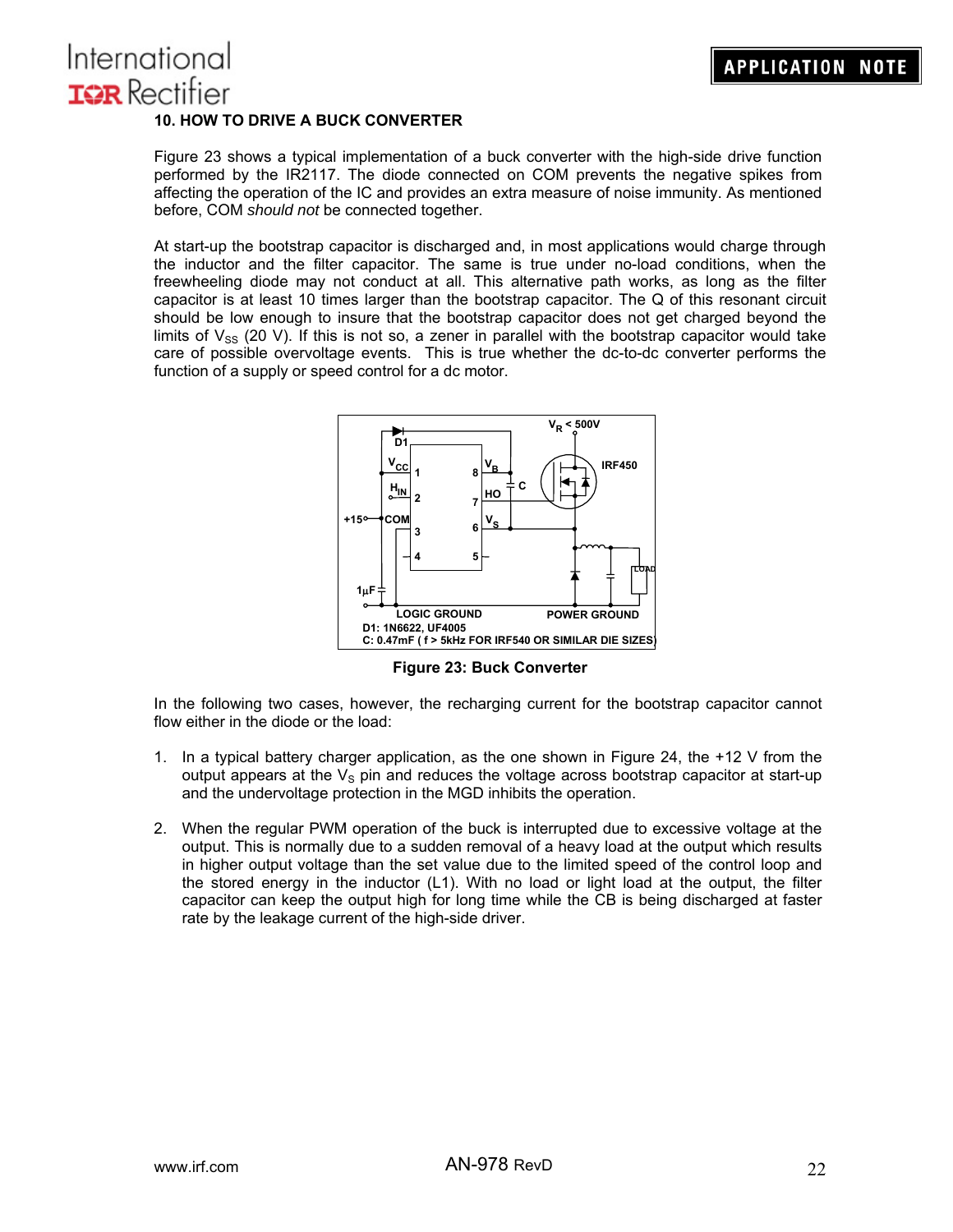# International **IGR** Rectifier **10. HOW TO DRIVE A BUCK CONVERTER**

Figure 23 shows a typical implementation of a buck converter with the high-side drive function performed by the IR2117. The diode connected on COM prevents the negative spikes from affecting the operation of the IC and provides an extra measure of noise immunity. As mentioned before, COM *should not* be connected together.

At start-up the bootstrap capacitor is discharged and, in most applications would charge through the inductor and the filter capacitor. The same is true under no-load conditions, when the freewheeling diode may not conduct at all. This alternative path works, as long as the filter capacitor is at least 10 times larger than the bootstrap capacitor. The Q of this resonant circuit should be low enough to insure that the bootstrap capacitor does not get charged beyond the limits of  $V_{SS}$  (20 V). If this is not so, a zener in parallel with the bootstrap capacitor would take care of possible overvoltage events. This is true whether the dc-to-dc converter performs the function of a supply or speed control for a dc motor.



**Figure 23: Buck Converter** 

In the following two cases, however, the recharging current for the bootstrap capacitor cannot flow either in the diode or the load:

- 1. In a typical battery charger application, as the one shown in Figure 24, the +12 V from the output appears at the  $V_s$  pin and reduces the voltage across bootstrap capacitor at start-up and the undervoltage protection in the MGD inhibits the operation.
- 2. When the regular PWM operation of the buck is interrupted due to excessive voltage at the output. This is normally due to a sudden removal of a heavy load at the output which results in higher output voltage than the set value due to the limited speed of the control loop and the stored energy in the inductor (L1). With no load or light load at the output, the filter capacitor can keep the output high for long time while the CB is being discharged at faster rate by the leakage current of the high-side driver.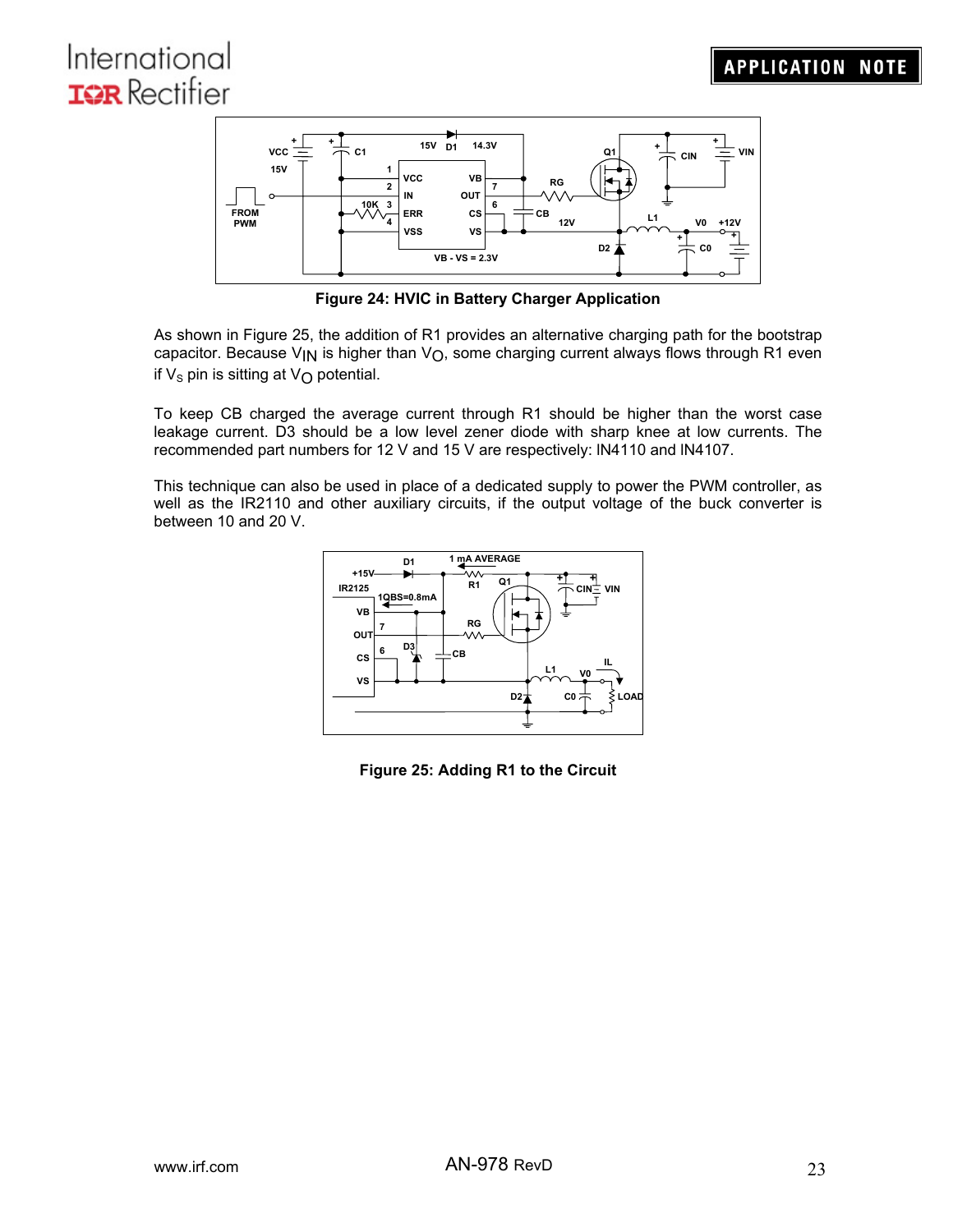

**Figure 24: HVIC in Battery Charger Application** 

As shown in Figure 25, the addition of R1 provides an alternative charging path for the bootstrap capacitor. Because V<sub>IN</sub> is higher than V<sub>O</sub>, some charging current always flows through R1 even if  $V_s$  pin is sitting at  $V_O$  potential.

To keep CB charged the average current through R1 should be higher than the worst case leakage current. D3 should be a low level zener diode with sharp knee at low currents. The recommended part numbers for 12 V and 15 V are respectively: lN4110 and lN4107.

This technique can also be used in place of a dedicated supply to power the PWM controller, as well as the IR2110 and other auxiliary circuits, if the output voltage of the buck converter is between 10 and 20 V.



**Figure 25: Adding R1 to the Circuit**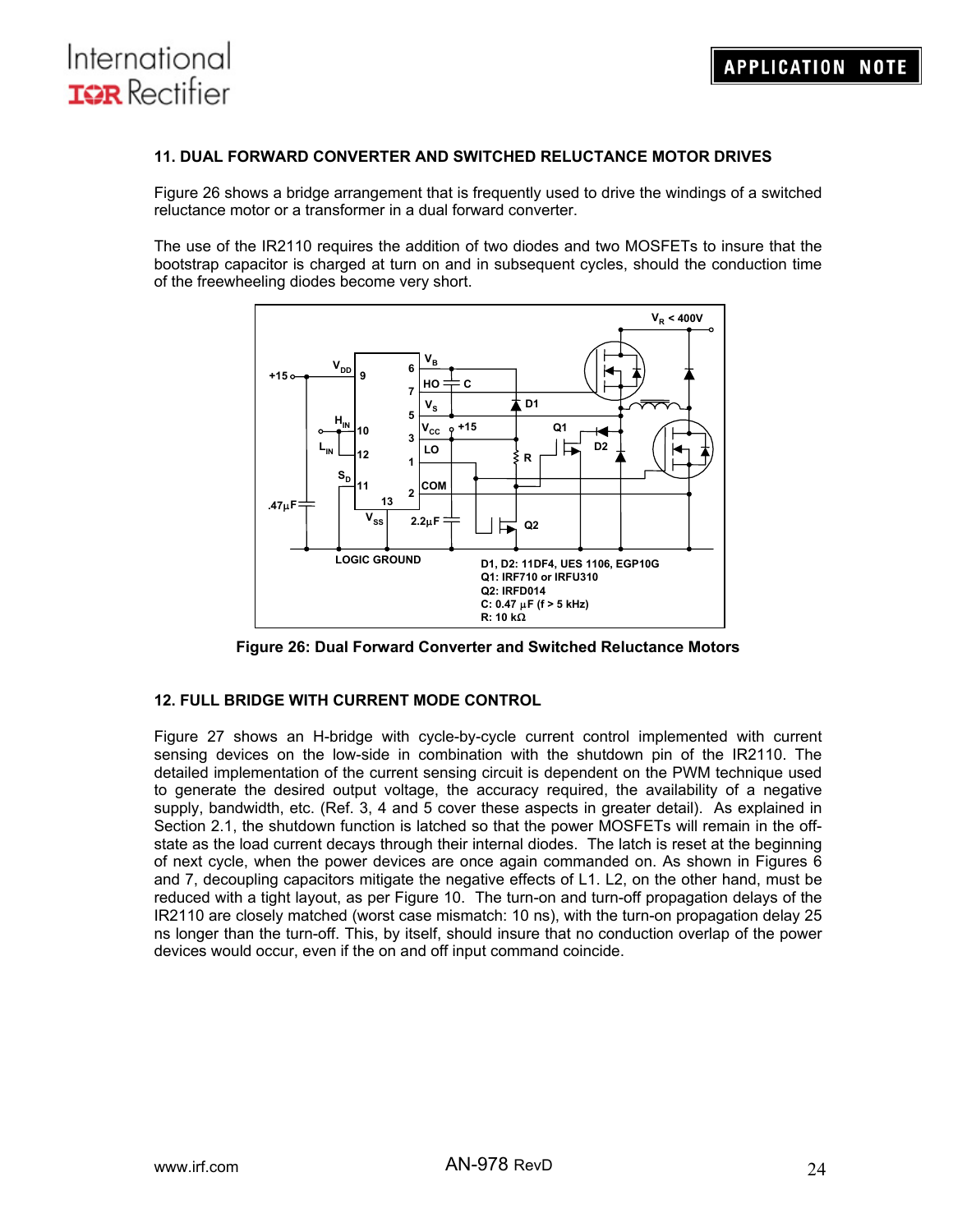International

**IGR** Rectifier

#### **11. DUAL FORWARD CONVERTER AND SWITCHED RELUCTANCE MOTOR DRIVES**

Figure 26 shows a bridge arrangement that is frequently used to drive the windings of a switched reluctance motor or a transformer in a dual forward converter.

The use of the IR2110 requires the addition of two diodes and two MOSFETs to insure that the bootstrap capacitor is charged at turn on and in subsequent cycles, should the conduction time of the freewheeling diodes become very short.



**Figure 26: Dual Forward Converter and Switched Reluctance Motors** 

### **12. FULL BRIDGE WITH CURRENT MODE CONTROL**

Figure 27 shows an H-bridge with cycle-by-cycle current control implemented with current sensing devices on the low-side in combination with the shutdown pin of the IR2110. The detailed implementation of the current sensing circuit is dependent on the PWM technique used to generate the desired output voltage, the accuracy required, the availability of a negative supply, bandwidth, etc. (Ref. 3, 4 and 5 cover these aspects in greater detail). As explained in Section 2.1, the shutdown function is latched so that the power MOSFETs will remain in the offstate as the load current decays through their internal diodes. The latch is reset at the beginning of next cycle, when the power devices are once again commanded on. As shown in Figures 6 and 7, decoupling capacitors mitigate the negative effects of L1. L2, on the other hand, must be reduced with a tight layout, as per Figure 10. The turn-on and turn-off propagation delays of the IR2110 are closely matched (worst case mismatch: 10 ns), with the turn-on propagation delay 25 ns longer than the turn-off. This, by itself, should insure that no conduction overlap of the power devices would occur, even if the on and off input command coincide.

**APPLICATION NOTE**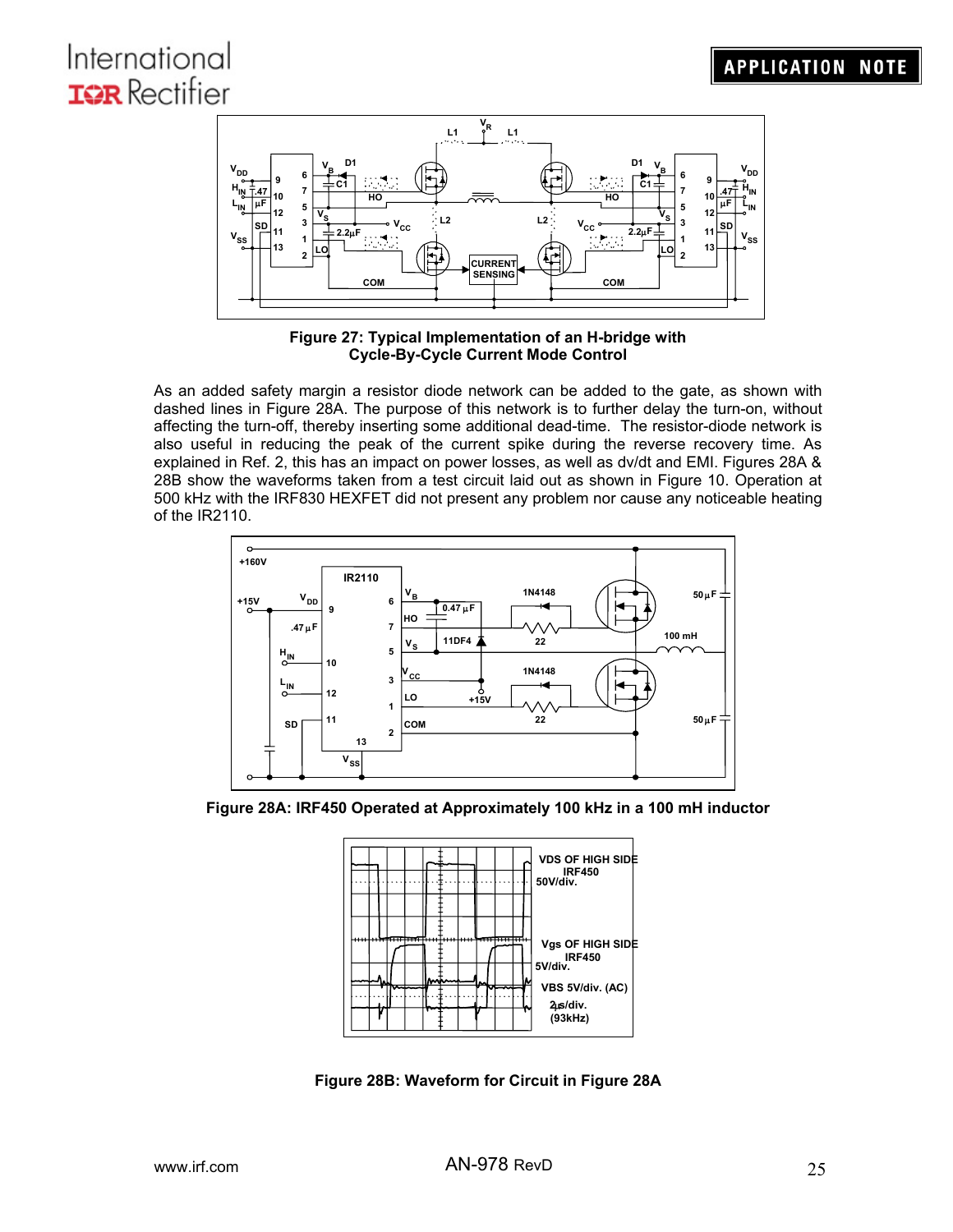

**Figure 27: Typical Implementation of an H-bridge with Cycle-By-Cycle Current Mode Control** 

As an added safety margin a resistor diode network can be added to the gate, as shown with dashed lines in Figure 28A. The purpose of this network is to further delay the turn-on, without affecting the turn-off, thereby inserting some additional dead-time. The resistor-diode network is also useful in reducing the peak of the current spike during the reverse recovery time. As explained in Ref. 2, this has an impact on power losses, as well as dv/dt and EMI. Figures 28A & 28B show the waveforms taken from a test circuit laid out as shown in Figure 10. Operation at 500 kHz with the IRF830 HEXFET did not present any problem nor cause any noticeable heating of the IR2110.



**Figure 28A: IRF450 Operated at Approximately 100 kHz in a 100 mH inductor** 



**Figure 28B: Waveform for Circuit in Figure 28A**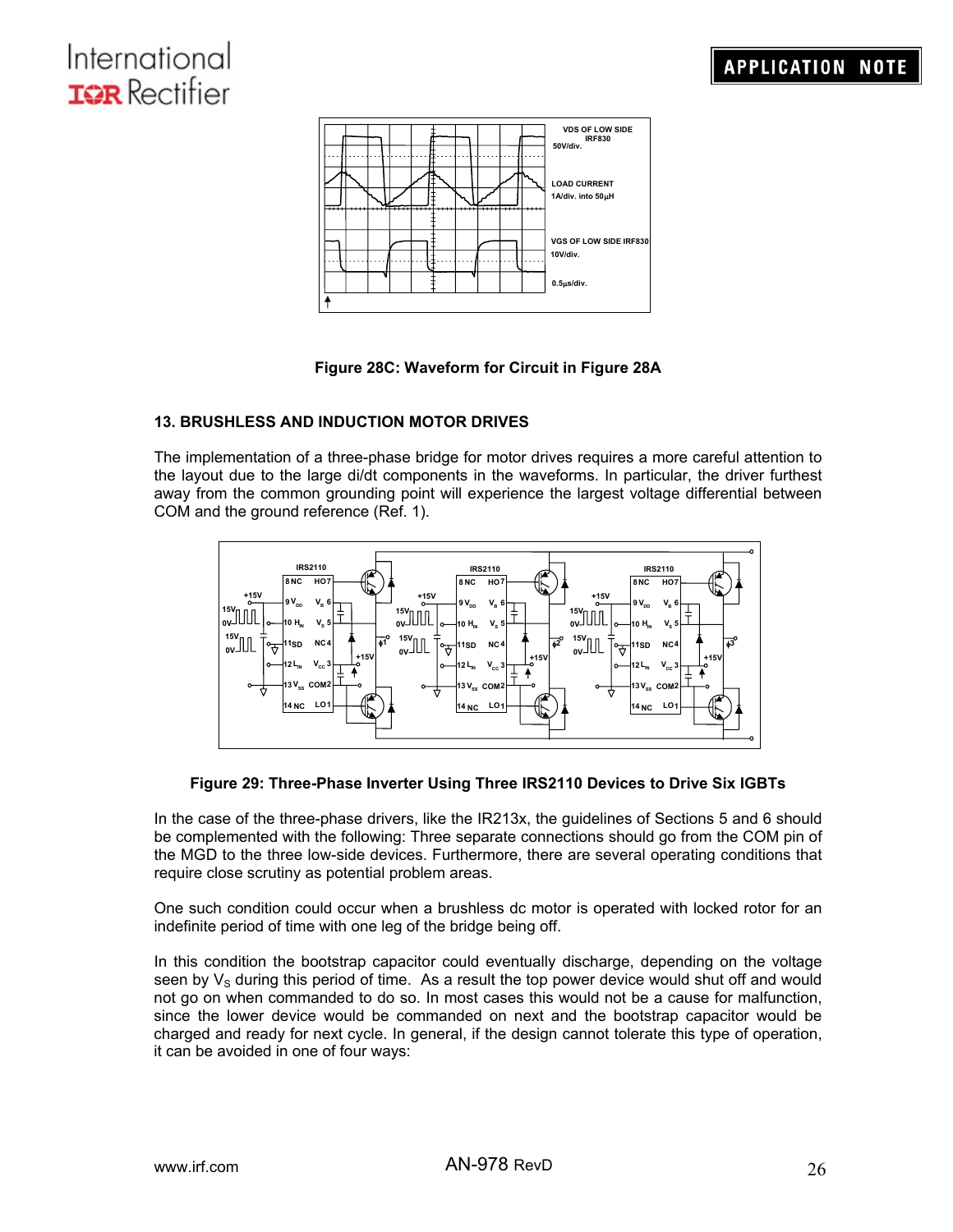

### **Figure 28C: Waveform for Circuit in Figure 28A**

### **13. BRUSHLESS AND INDUCTION MOTOR DRIVES**

The implementation of a three-phase bridge for motor drives requires a more careful attention to the layout due to the large di/dt components in the waveforms. In particular, the driver furthest away from the common grounding point will experience the largest voltage differential between COM and the ground reference (Ref. 1).



### **Figure 29: Three-Phase Inverter Using Three IRS2110 Devices to Drive Six IGBTs**

In the case of the three-phase drivers, like the IR213x, the guidelines of Sections 5 and 6 should be complemented with the following: Three separate connections should go from the COM pin of the MGD to the three low-side devices. Furthermore, there are several operating conditions that require close scrutiny as potential problem areas.

One such condition could occur when a brushless dc motor is operated with locked rotor for an indefinite period of time with one leg of the bridge being off.

In this condition the bootstrap capacitor could eventually discharge, depending on the voltage seen by  $V_S$  during this period of time. As a result the top power device would shut off and would not go on when commanded to do so. In most cases this would not be a cause for malfunction, since the lower device would be commanded on next and the bootstrap capacitor would be charged and ready for next cycle. In general, if the design cannot tolerate this type of operation, it can be avoided in one of four ways: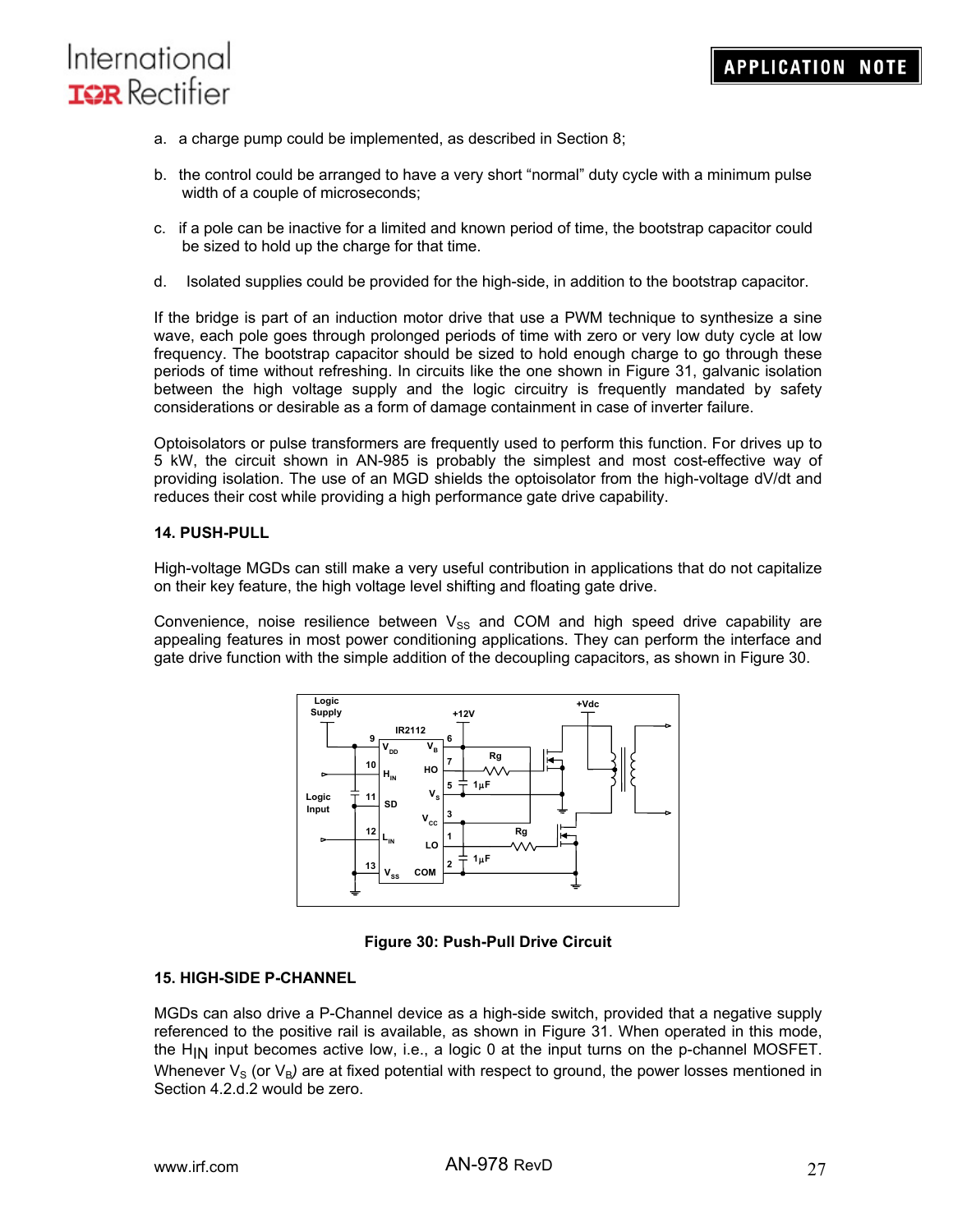- a. a charge pump could be implemented, as described in Section 8;
- b. the control could be arranged to have a very short "normal" duty cycle with a minimum pulse width of a couple of microseconds;
- c. if a pole can be inactive for a limited and known period of time, the bootstrap capacitor could be sized to hold up the charge for that time.
- d. Isolated supplies could be provided for the high-side, in addition to the bootstrap capacitor.

If the bridge is part of an induction motor drive that use a PWM technique to synthesize a sine wave, each pole goes through prolonged periods of time with zero or very low duty cycle at low frequency. The bootstrap capacitor should be sized to hold enough charge to go through these periods of time without refreshing. In circuits like the one shown in Figure 31, galvanic isolation between the high voltage supply and the logic circuitry is frequently mandated by safety considerations or desirable as a form of damage containment in case of inverter failure.

Optoisolators or pulse transformers are frequently used to perform this function. For drives up to 5 kW, the circuit shown in AN-985 is probably the simplest and most cost-effective way of providing isolation. The use of an MGD shields the optoisolator from the high-voltage dV/dt and reduces their cost while providing a high performance gate drive capability.

#### **14. PUSH-PULL**

High-voltage MGDs can still make a very useful contribution in applications that do not capitalize on their key feature, the high voltage level shifting and floating gate drive.

Convenience, noise resilience between  $V_{SS}$  and COM and high speed drive capability are appealing features in most power conditioning applications. They can perform the interface and gate drive function with the simple addition of the decoupling capacitors, as shown in Figure 30.



### **Figure 30: Push-Pull Drive Circuit**

#### **15. HIGH-SIDE P-CHANNEL**

MGDs can also drive a P-Channel device as a high-side switch, provided that a negative supply referenced to the positive rail is available, as shown in Figure 31. When operated in this mode, the  $H_{IN}$  input becomes active low, i.e., a logic 0 at the input turns on the p-channel MOSFET. Whenever  $V_S$  (or  $V_B$ ) are at fixed potential with respect to ground, the power losses mentioned in Section 4.2.d.2 would be zero.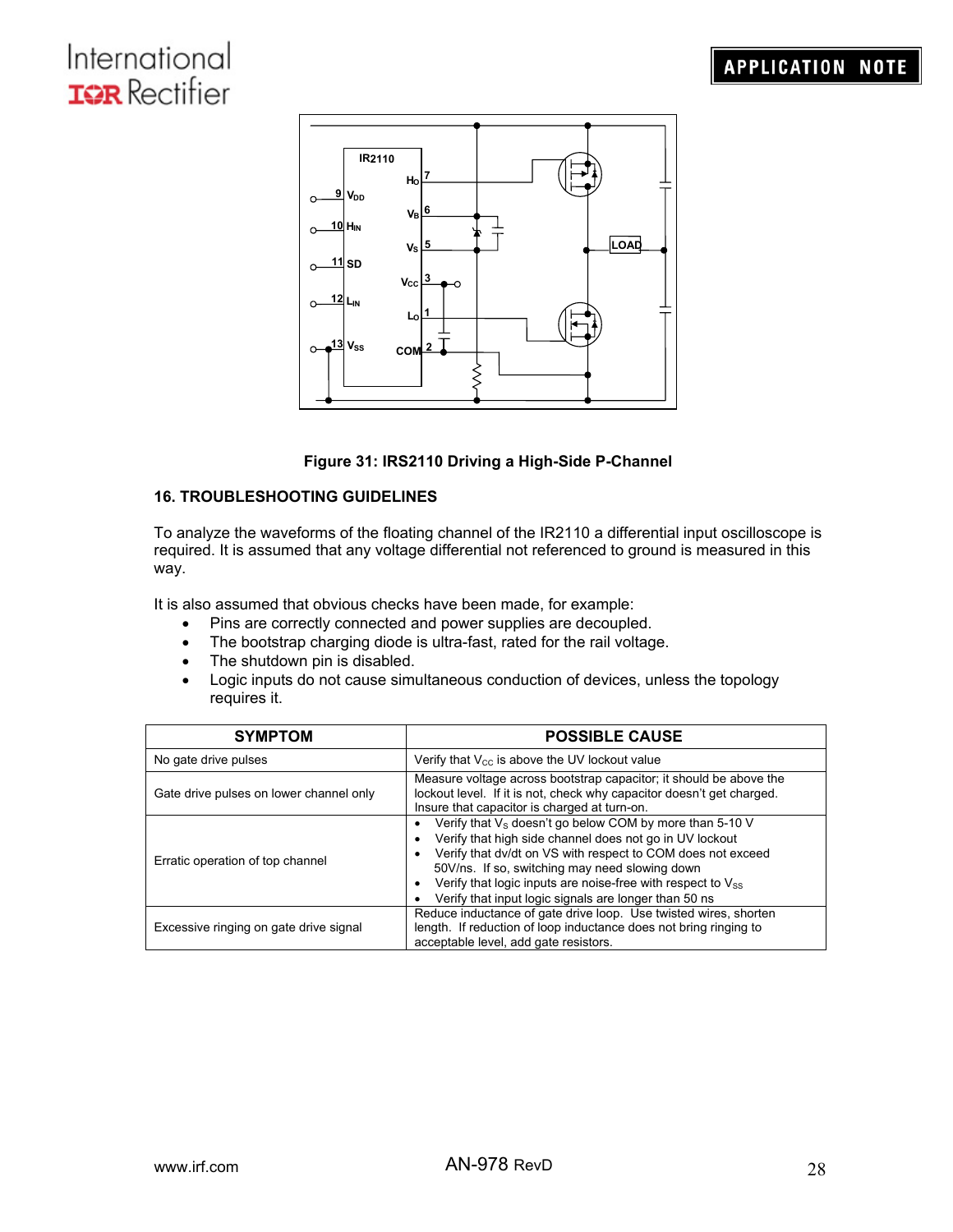

### **Figure 31: IRS2110 Driving a High-Side P-Channel**

### **16. TROUBLESHOOTING GUIDELINES**

To analyze the waveforms of the floating channel of the IR2110 a differential input oscilloscope is required. It is assumed that any voltage differential not referenced to ground is measured in this way.

It is also assumed that obvious checks have been made, for example:

- Pins are correctly connected and power supplies are decoupled.
- The bootstrap charging diode is ultra-fast, rated for the rail voltage.
- The shutdown pin is disabled.
- Logic inputs do not cause simultaneous conduction of devices, unless the topology requires it.

| <b>SYMPTOM</b>                          | <b>POSSIBLE CAUSE</b>                                                                                                                                                                                                                                                                                                                                          |  |  |
|-----------------------------------------|----------------------------------------------------------------------------------------------------------------------------------------------------------------------------------------------------------------------------------------------------------------------------------------------------------------------------------------------------------------|--|--|
| No gate drive pulses                    | Verify that $V_{\text{cc}}$ is above the UV lockout value                                                                                                                                                                                                                                                                                                      |  |  |
| Gate drive pulses on lower channel only | Measure voltage across bootstrap capacitor; it should be above the<br>lockout level. If it is not, check why capacitor doesn't get charged.<br>Insure that capacitor is charged at turn-on.                                                                                                                                                                    |  |  |
| Erratic operation of top channel        | Verify that $V_s$ doesn't go below COM by more than 5-10 V<br>Verify that high side channel does not go in UV lockout<br>Verify that dv/dt on VS with respect to COM does not exceed<br>50V/ns. If so, switching may need slowing down<br>Verify that logic inputs are noise-free with respect to Vss<br>Verify that input logic signals are longer than 50 ns |  |  |
| Excessive ringing on gate drive signal  | Reduce inductance of gate drive loop. Use twisted wires, shorten<br>length. If reduction of loop inductance does not bring ringing to<br>acceptable level, add gate resistors.                                                                                                                                                                                 |  |  |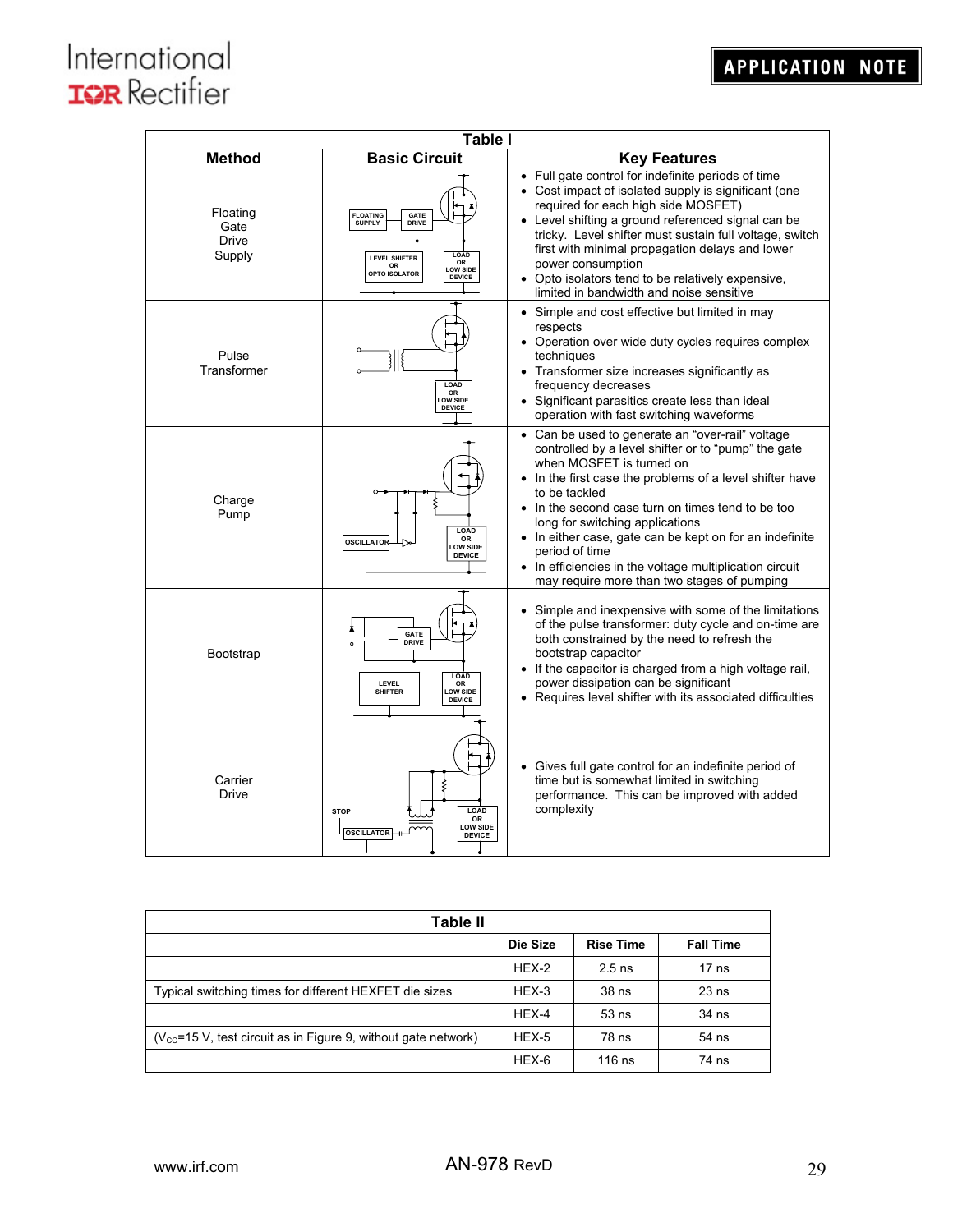| <b>Table I</b>                             |                                                                                                                                                    |                                                                                                                                                                                                                                                                                                                                                                                                                                                                                               |  |  |  |  |  |
|--------------------------------------------|----------------------------------------------------------------------------------------------------------------------------------------------------|-----------------------------------------------------------------------------------------------------------------------------------------------------------------------------------------------------------------------------------------------------------------------------------------------------------------------------------------------------------------------------------------------------------------------------------------------------------------------------------------------|--|--|--|--|--|
| <b>Method</b>                              | <b>Basic Circuit</b>                                                                                                                               | <b>Key Features</b>                                                                                                                                                                                                                                                                                                                                                                                                                                                                           |  |  |  |  |  |
| Floating<br>Gate<br><b>Drive</b><br>Supply | <b>FLOATING</b><br><b>GATE</b><br><b>SUPPLY</b><br>DRIVE<br>LOAD<br>LEVEL SHIFTER<br>OR<br>OR<br><b>LOW SIDE</b><br>OPTO ISOLATOR<br><b>DEVICE</b> | • Full gate control for indefinite periods of time<br>• Cost impact of isolated supply is significant (one<br>required for each high side MOSFET)<br>• Level shifting a ground referenced signal can be<br>tricky. Level shifter must sustain full voltage, switch<br>first with minimal propagation delays and lower<br>power consumption<br>• Opto isolators tend to be relatively expensive,<br>limited in bandwidth and noise sensitive                                                   |  |  |  |  |  |
| Pulse<br>Transformer                       | <b>LOAD</b><br>OR<br>LOW SIDE<br><b>DEVICE</b>                                                                                                     | • Simple and cost effective but limited in may<br>respects<br>• Operation over wide duty cycles requires complex<br>techniques<br>• Transformer size increases significantly as<br>frequency decreases<br>• Significant parasitics create less than ideal<br>operation with fast switching waveforms                                                                                                                                                                                          |  |  |  |  |  |
| Charge<br>Pump                             | LOAD<br>OR<br>OSCILLATOR<br><b>LOW SIDE</b><br><b>DEVICE</b>                                                                                       | • Can be used to generate an "over-rail" voltage<br>controlled by a level shifter or to "pump" the gate<br>when MOSFET is turned on<br>In the first case the problems of a level shifter have<br>to be tackled<br>• In the second case turn on times tend to be too<br>long for switching applications<br>• In either case, gate can be kept on for an indefinite<br>period of time<br>• In efficiencies in the voltage multiplication circuit<br>may require more than two stages of pumping |  |  |  |  |  |
| <b>Bootstrap</b>                           | <b>GATE</b><br><b>DRIVE</b><br>LOAD<br>LEVEL<br>OR<br><b>LOW SIDE</b><br><b>SHIFTER</b><br><b>DEVICE</b>                                           | • Simple and inexpensive with some of the limitations<br>of the pulse transformer: duty cycle and on-time are<br>both constrained by the need to refresh the<br>bootstrap capacitor<br>• If the capacitor is charged from a high voltage rail,<br>power dissipation can be significant<br>• Requires level shifter with its associated difficulties                                                                                                                                           |  |  |  |  |  |
| Carrier<br>Drive                           | LOAD<br><b>STOP</b><br><b>OR</b><br><b>LOW SIDE</b><br><b>OSCILLATOR</b><br><b>DEVICE</b>                                                          | • Gives full gate control for an indefinite period of<br>time but is somewhat limited in switching<br>performance. This can be improved with added<br>complexity                                                                                                                                                                                                                                                                                                                              |  |  |  |  |  |

| Table II                                                                |          |                  |                  |  |  |
|-------------------------------------------------------------------------|----------|------------------|------------------|--|--|
|                                                                         | Die Size | <b>Rise Time</b> | <b>Fall Time</b> |  |  |
|                                                                         | HEX-2    | $2.5$ ns         | $17$ ns          |  |  |
| Typical switching times for different HEXFET die sizes                  | HEX-3    | 38 ns            | $23$ ns          |  |  |
|                                                                         | $HEX-4$  | $53$ ns          | 34 ns            |  |  |
| $(V_{\rm CC}$ =15 V, test circuit as in Figure 9, without gate network) | HEX-5    | $78$ ns          | 54 ns            |  |  |
|                                                                         | HEX-6    | $116$ ns         | 74 ns            |  |  |